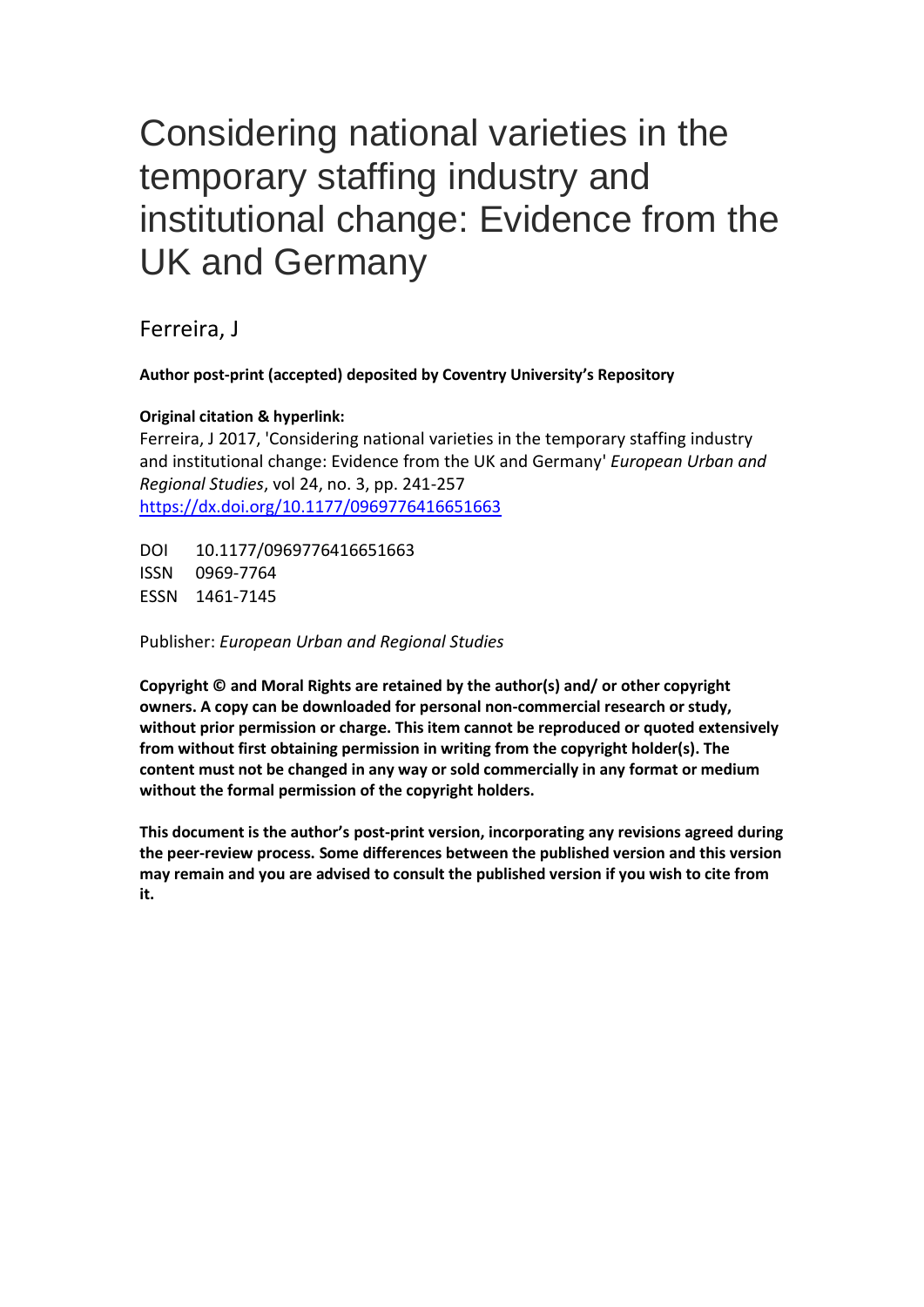# Considering national varieties in the temporary staffing industry and institutional change: Evidence from the UK and Germany

Ferreira, J

## **Author post-print (accepted) deposited by Coventry University's Repository**

## **Original citation & hyperlink:**

[Ferreira, J 2017,](http://eur.sagepub.com/) '[Consid](http://eur.sagepub.com/)ering national varieties in the temporary staffing industry and institutional change: Evidence from the UK and Germany' *European Urban and Regional Studies*, vol 24, no. 3, pp. 241-257 https://dx.doi.org/10.1177/0969776416651663

DOI 10.1177/0969776416651663 ISSN 0969-7764 ESSN 1461-7145

Publisher: *European Urban and Regional Studies*

**Copyright © and Moral Rights are retained by the author(s) and/ or other copyright owners. A copy can be downloaded for personal non-commercial research or study, without prior permission or charge. This item cannot be reproduced or quoted extensively from without first obtaining permission in writing from the copyright holder(s). The content must not be changed in any way or sold commercially in any format or medium without the formal permission of the copyright holders.** 

**This document is the author's post-print version, incorporating any revisions agreed during the peer-review process. Some differences between the published version and this version may remain and you are advised to consult the published version if you wish to cite from it.**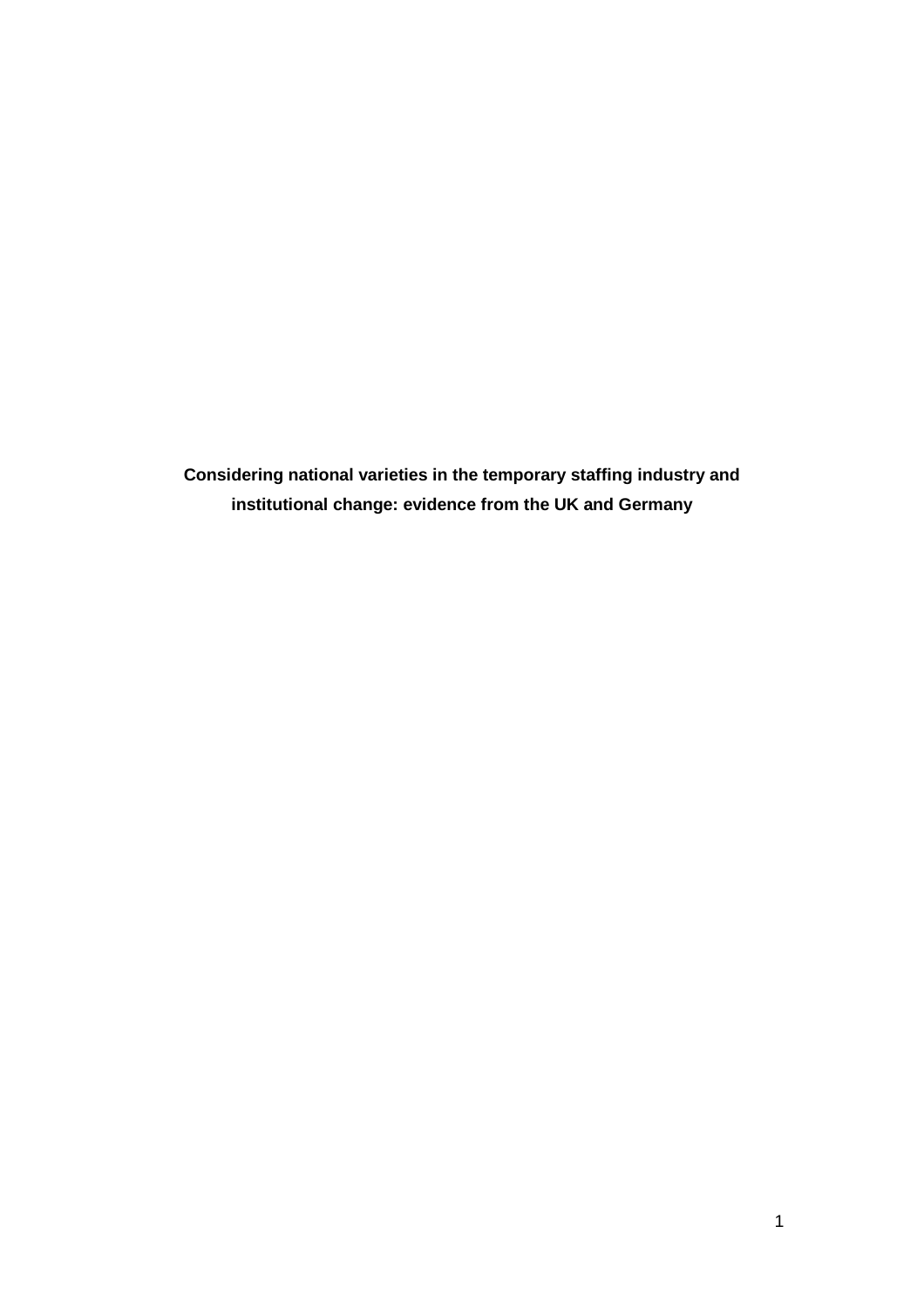<span id="page-1-0"></span>**Considering national varieties in the temporary staffing industry and institutional change: evidence from the UK and Germany**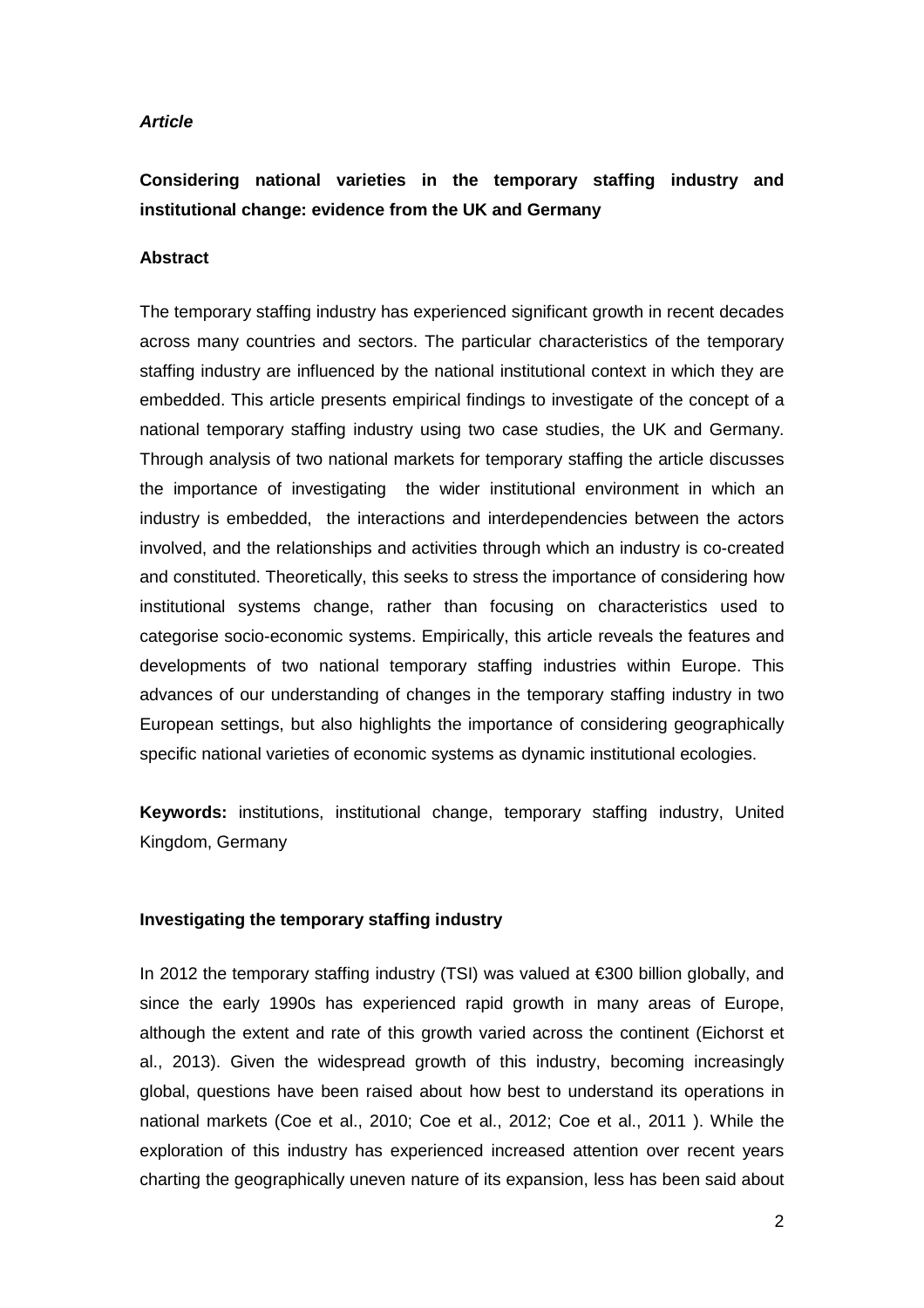### *Article*

## **Considering national varieties in the temporary staffing industry and institutional change: evidence from the UK and Germany**

### **Abstract**

The temporary staffing industry has experienced significant growth in recent decades across many countries and sectors. The particular characteristics of the temporary staffing industry are influenced by the national institutional context in which they are embedded. This article presents empirical findings to investigate of the concept of a national temporary staffing industry using two case studies, the UK and Germany. Through analysis of two national markets for temporary staffing the article discusses the importance of investigating the wider institutional environment in which an industry is embedded, the interactions and interdependencies between the actors involved, and the relationships and activities through which an industry is co-created and constituted. Theoretically, this seeks to stress the importance of considering how institutional systems change, rather than focusing on characteristics used to categorise socio-economic systems. Empirically, this article reveals the features and developments of two national temporary staffing industries within Europe. This advances of our understanding of changes in the temporary staffing industry in two European settings, but also highlights the importance of considering geographically specific national varieties of economic systems as dynamic institutional ecologies.

**Keywords:** institutions, institutional change, temporary staffing industry, United Kingdom, Germany

#### **Investigating the temporary staffing industry**

In 2012 the temporary staffing industry (TSI) was valued at €300 billion globally, and since the early 1990s has experienced rapid growth in many areas of Europe, although the extent and rate of this growth varied across the continent (Eichorst et al., 2013). Given the widespread growth of this industry, becoming increasingly global, questions have been raised about how best to understand its operations in national markets (Coe et al., 2010; Coe et al., 2012; Coe et al., 2011 ). While the exploration of this industry has experienced increased attention over recent years charting the geographically uneven nature of its expansion, less has been said about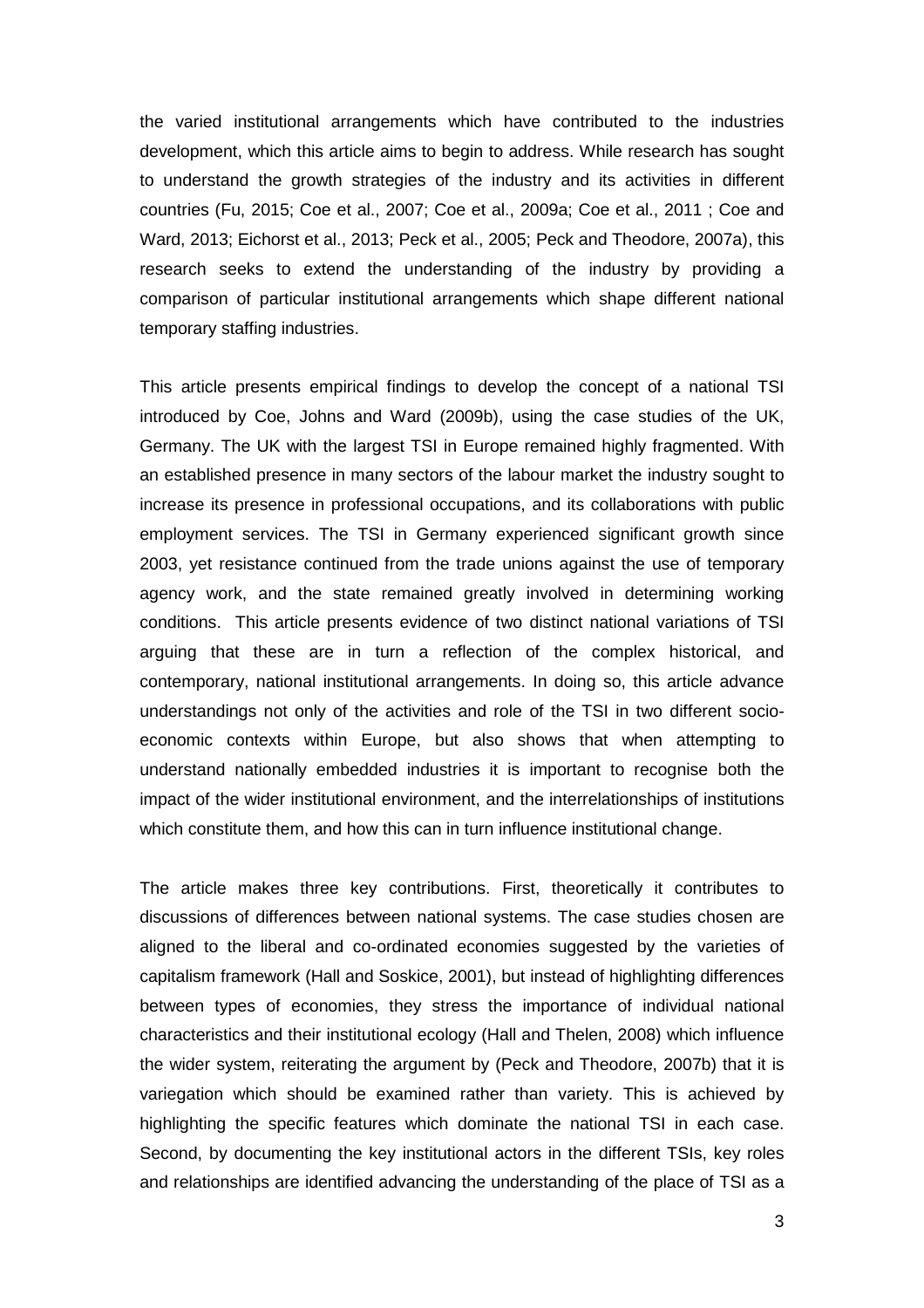the varied institutional arrangements which have contributed to the industries development, which this article aims to begin to address. While research has sought to understand the growth strategies of the industry and its activities in different countries (Fu, 2015; Coe et al., 2007; Coe et al., 2009a; Coe et al., 2011 ; Coe and Ward, 2013; Eichorst et al., 2013; Peck et al., 2005; Peck and Theodore, 2007a), this research seeks to extend the understanding of the industry by providing a comparison of particular institutional arrangements which shape different national temporary staffing industries.

This article presents empirical findings to develop the concept of a national TSI introduced by Coe, Johns and Ward (2009b), using the case studies of the UK, Germany. The UK with the largest TSI in Europe remained highly fragmented. With an established presence in many sectors of the labour market the industry sought to increase its presence in professional occupations, and its collaborations with public employment services. The TSI in Germany experienced significant growth since 2003, yet resistance continued from the trade unions against the use of temporary agency work, and the state remained greatly involved in determining working conditions. This article presents evidence of two distinct national variations of TSI arguing that these are in turn a reflection of the complex historical, and contemporary, national institutional arrangements. In doing so, this article advance understandings not only of the activities and role of the TSI in two different socioeconomic contexts within Europe, but also shows that when attempting to understand nationally embedded industries it is important to recognise both the impact of the wider institutional environment, and the interrelationships of institutions which constitute them, and how this can in turn influence institutional change.

The article makes three key contributions. First, theoretically it contributes to discussions of differences between national systems. The case studies chosen are aligned to the liberal and co-ordinated economies suggested by the varieties of capitalism framework (Hall and Soskice, 2001), but instead of highlighting differences between types of economies, they stress the importance of individual national characteristics and their institutional ecology (Hall and Thelen, 2008) which influence the wider system, reiterating the argument by (Peck and Theodore, 2007b) that it is variegation which should be examined rather than variety. This is achieved by highlighting the specific features which dominate the national TSI in each case. Second, by documenting the key institutional actors in the different TSIs, key roles and relationships are identified advancing the understanding of the place of TSI as a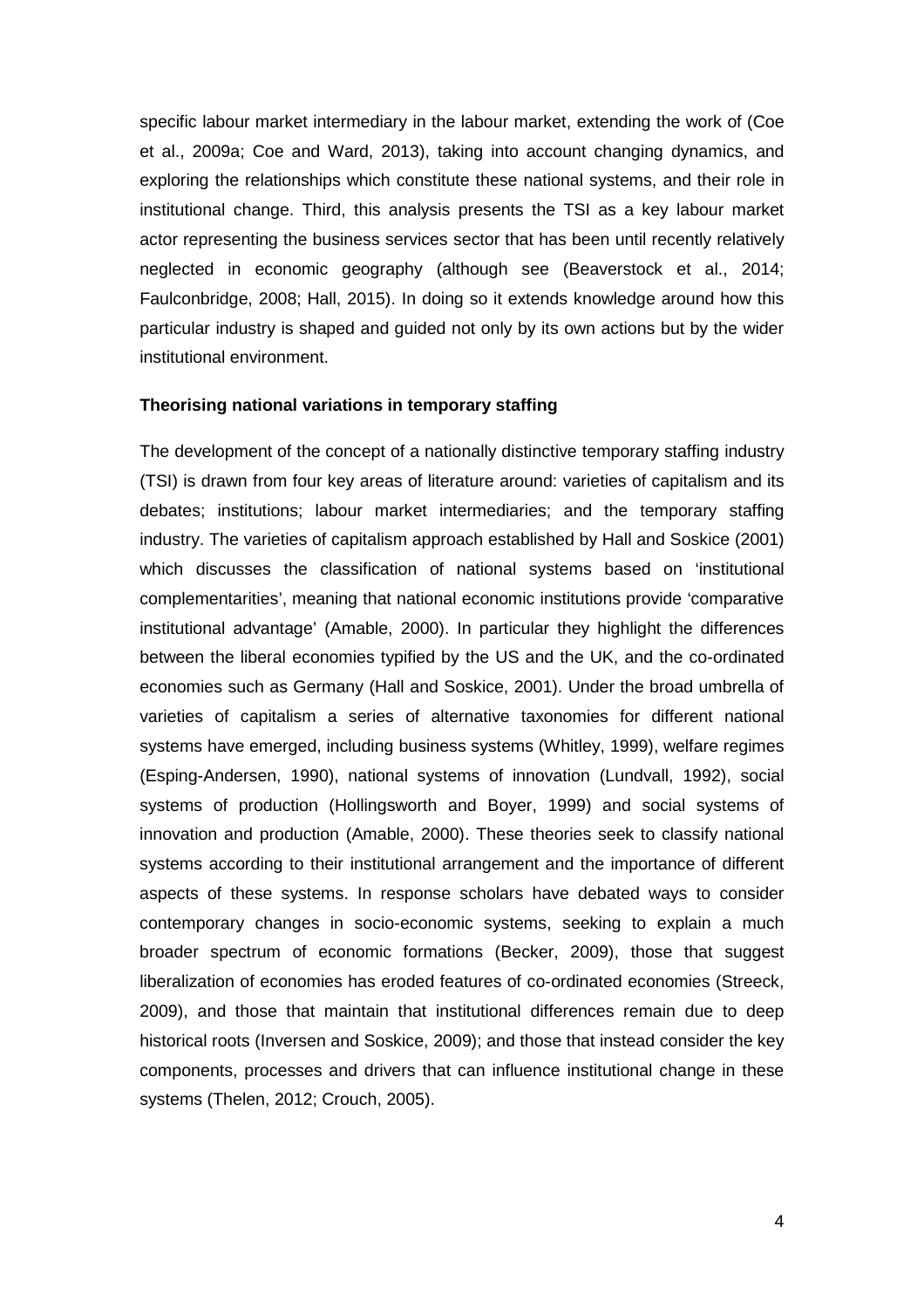specific labour market intermediary in the labour market, extending the work of (Coe et al., 2009a; Coe and Ward, 2013), taking into account changing dynamics, and exploring the relationships which constitute these national systems, and their role in institutional change. Third, this analysis presents the TSI as a key labour market actor representing the business services sector that has been until recently relatively neglected in economic geography (although see (Beaverstock et al., 2014; Faulconbridge, 2008; Hall, 2015). In doing so it extends knowledge around how this particular industry is shaped and guided not only by its own actions but by the wider institutional environment.

#### **Theorising national variations in temporary staffing**

The development of the concept of a nationally distinctive temporary staffing industry (TSI) is drawn from four key areas of literature around: varieties of capitalism and its debates; institutions; labour market intermediaries; and the temporary staffing industry. The varieties of capitalism approach established by Hall and Soskice (2001) which discusses the classification of national systems based on 'institutional complementarities', meaning that national economic institutions provide 'comparative institutional advantage' (Amable, 2000). In particular they highlight the differences between the liberal economies typified by the US and the UK, and the co-ordinated economies such as Germany (Hall and Soskice, 2001). Under the broad umbrella of varieties of capitalism a series of alternative taxonomies for different national systems have emerged, including business systems (Whitley, 1999), welfare regimes (Esping-Andersen, 1990), national systems of innovation (Lundvall, 1992), social systems of production (Hollingsworth and Boyer, 1999) and social systems of innovation and production (Amable, 2000). These theories seek to classify national systems according to their institutional arrangement and the importance of different aspects of these systems. In response scholars have debated ways to consider contemporary changes in socio-economic systems, seeking to explain a much broader spectrum of economic formations (Becker, 2009), those that suggest liberalization of economies has eroded features of co-ordinated economies (Streeck, 2009), and those that maintain that institutional differences remain due to deep historical roots (Inversen and Soskice, 2009); and those that instead consider the key components, processes and drivers that can influence institutional change in these systems (Thelen, 2012; Crouch, 2005).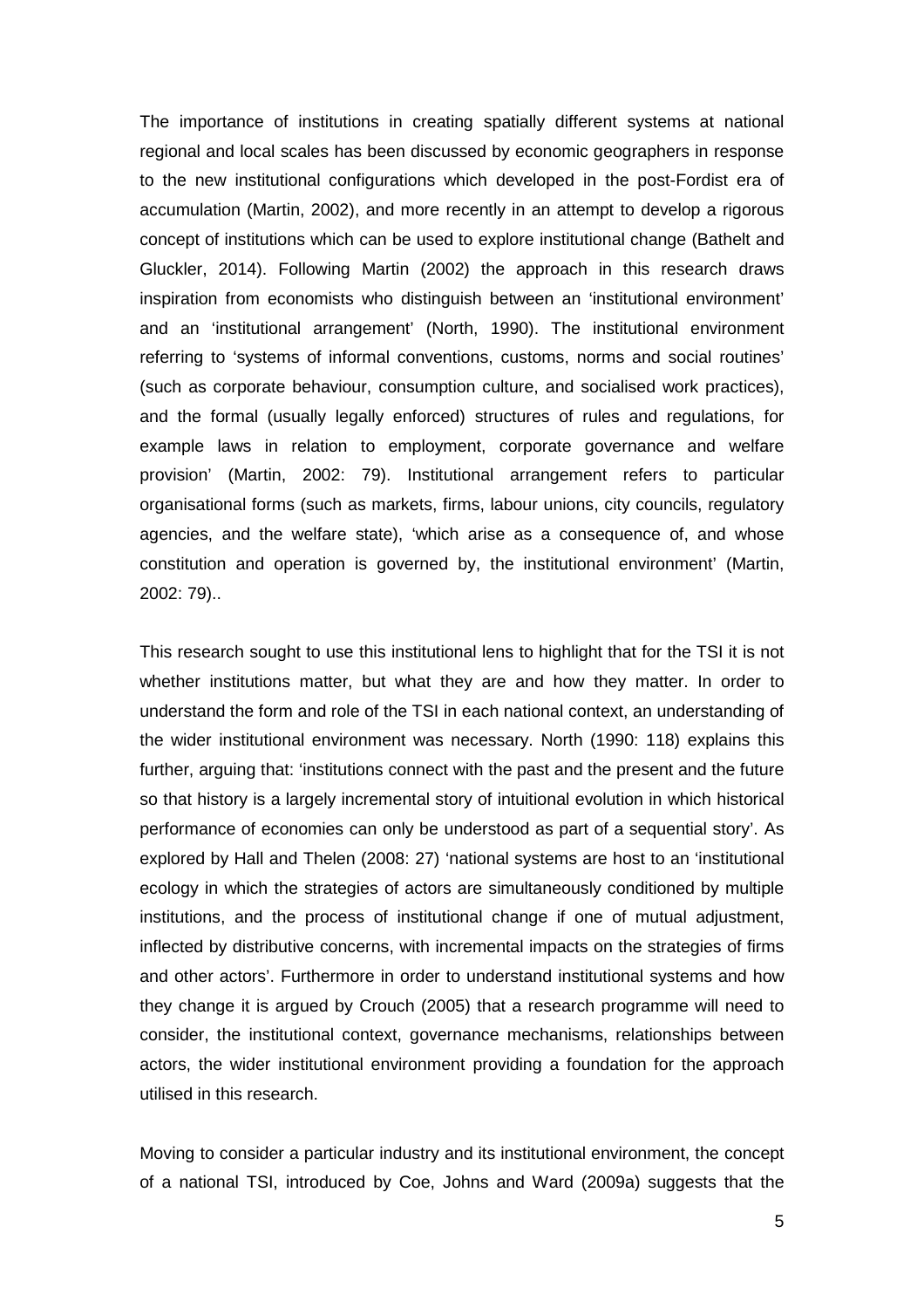The importance of institutions in creating spatially different systems at national regional and local scales has been discussed by economic geographers in response to the new institutional configurations which developed in the post-Fordist era of accumulation (Martin, 2002), and more recently in an attempt to develop a rigorous concept of institutions which can be used to explore institutional change (Bathelt and Gluckler, 2014). Following Martin (2002) the approach in this research draws inspiration from economists who distinguish between an 'institutional environment' and an 'institutional arrangement' (North, 1990). The institutional environment referring to 'systems of informal conventions, customs, norms and social routines' (such as corporate behaviour, consumption culture, and socialised work practices), and the formal (usually legally enforced) structures of rules and regulations, for example laws in relation to employment, corporate governance and welfare provision' (Martin, 2002: 79). Institutional arrangement refers to particular organisational forms (such as markets, firms, labour unions, city councils, regulatory agencies, and the welfare state), 'which arise as a consequence of, and whose constitution and operation is governed by, the institutional environment' (Martin, 2002: 79)..

This research sought to use this institutional lens to highlight that for the TSI it is not whether institutions matter, but what they are and how they matter. In order to understand the form and role of the TSI in each national context, an understanding of the wider institutional environment was necessary. North (1990: 118) explains this further, arguing that: 'institutions connect with the past and the present and the future so that history is a largely incremental story of intuitional evolution in which historical performance of economies can only be understood as part of a sequential story'. As explored by Hall and Thelen (2008: 27) 'national systems are host to an 'institutional ecology in which the strategies of actors are simultaneously conditioned by multiple institutions, and the process of institutional change if one of mutual adjustment, inflected by distributive concerns, with incremental impacts on the strategies of firms and other actors'. Furthermore in order to understand institutional systems and how they change it is argued by Crouch (2005) that a research programme will need to consider, the institutional context, governance mechanisms, relationships between actors, the wider institutional environment providing a foundation for the approach utilised in this research.

Moving to consider a particular industry and its institutional environment, the concept of a national TSI, introduced by Coe, Johns and Ward (2009a) suggests that the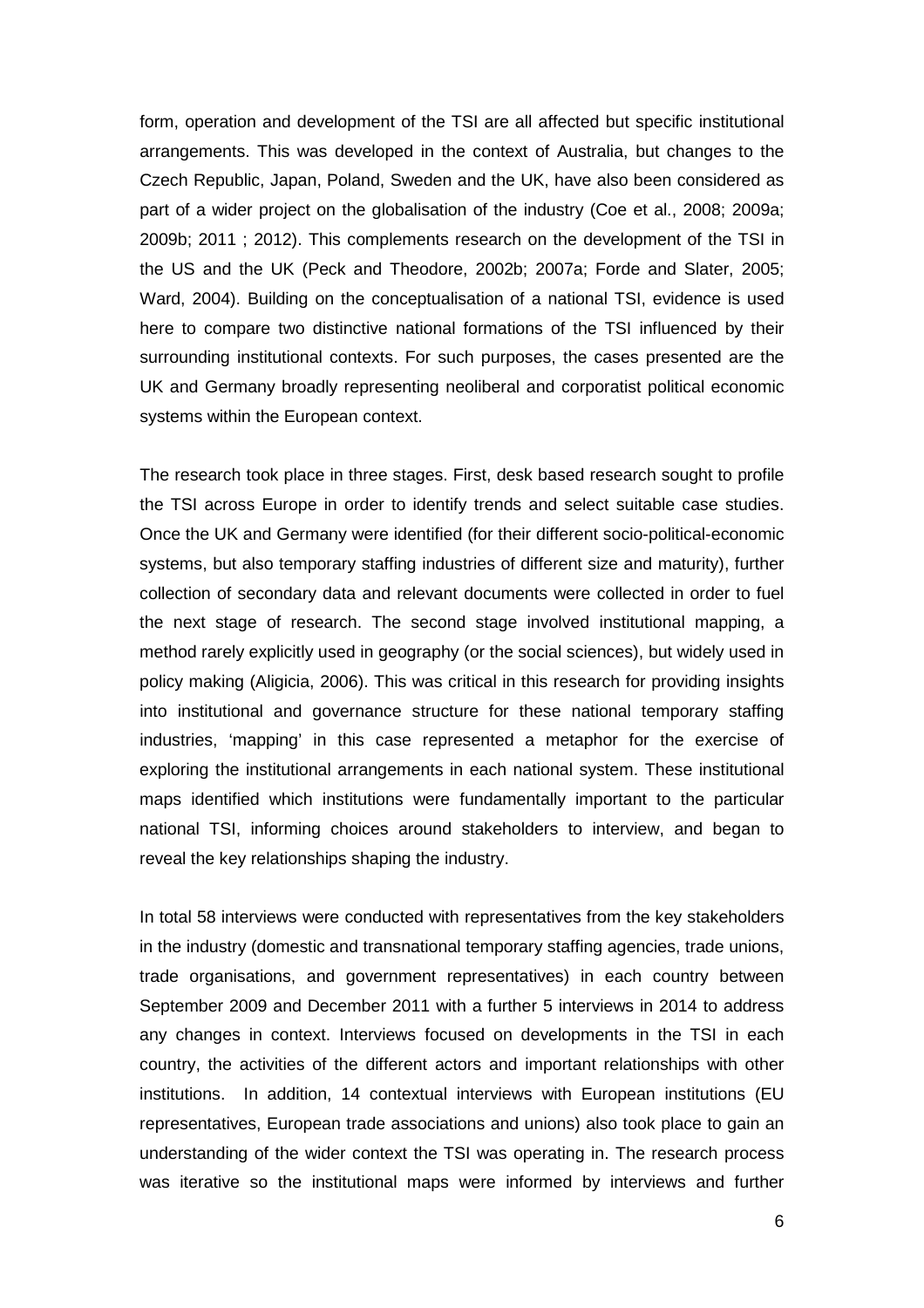form, operation and development of the TSI are all affected but specific institutional arrangements. This was developed in the context of Australia, but changes to the Czech Republic, Japan, Poland, Sweden and the UK, have also been considered as part of a wider project on the globalisation of the industry (Coe et al., 2008; 2009a; 2009b; 2011 ; 2012). This complements research on the development of the TSI in the US and the UK (Peck and Theodore, 2002b; 2007a; Forde and Slater, 2005; Ward, 2004). Building on the conceptualisation of a national TSI, evidence is used here to compare two distinctive national formations of the TSI influenced by their surrounding institutional contexts. For such purposes, the cases presented are the UK and Germany broadly representing neoliberal and corporatist political economic systems within the European context.

The research took place in three stages. First, desk based research sought to profile the TSI across Europe in order to identify trends and select suitable case studies. Once the UK and Germany were identified (for their different socio-political-economic systems, but also temporary staffing industries of different size and maturity), further collection of secondary data and relevant documents were collected in order to fuel the next stage of research. The second stage involved institutional mapping, a method rarely explicitly used in geography (or the social sciences), but widely used in policy making (Aligicia, 2006). This was critical in this research for providing insights into institutional and governance structure for these national temporary staffing industries, 'mapping' in this case represented a metaphor for the exercise of exploring the institutional arrangements in each national system. These institutional maps identified which institutions were fundamentally important to the particular national TSI, informing choices around stakeholders to interview, and began to reveal the key relationships shaping the industry.

In total 58 interviews were conducted with representatives from the key stakeholders in the industry (domestic and transnational temporary staffing agencies, trade unions, trade organisations, and government representatives) in each country between September 2009 and December 2011 with a further 5 interviews in 2014 to address any changes in context. Interviews focused on developments in the TSI in each country, the activities of the different actors and important relationships with other institutions. In addition, 14 contextual interviews with European institutions (EU representatives, European trade associations and unions) also took place to gain an understanding of the wider context the TSI was operating in. The research process was iterative so the institutional maps were informed by interviews and further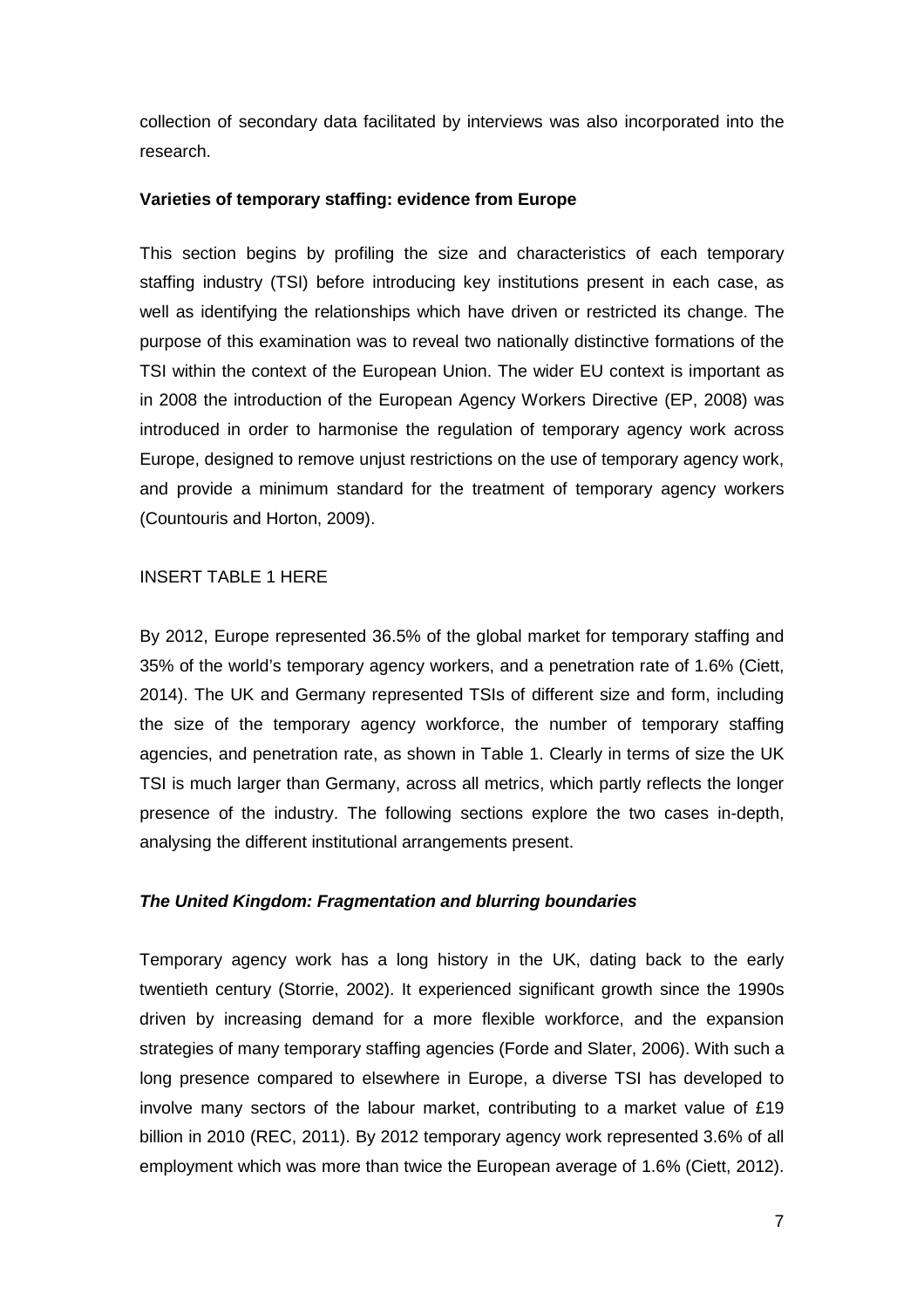collection of secondary data facilitated by interviews was also incorporated into the research.

## **Varieties of temporary staffing: evidence from Europe**

This section begins by profiling the size and characteristics of each temporary staffing industry (TSI) before introducing key institutions present in each case, as well as identifying the relationships which have driven or restricted its change. The purpose of this examination was to reveal two nationally distinctive formations of the TSI within the context of the European Union. The wider EU context is important as in 2008 the introduction of the European Agency Workers Directive (EP, 2008) was introduced in order to harmonise the regulation of temporary agency work across Europe, designed to remove unjust restrictions on the use of temporary agency work, and provide a minimum standard for the treatment of temporary agency workers (Countouris and Horton, 2009).

## INSERT TABLE 1 HERE

By 2012, Europe represented 36.5% of the global market for temporary staffing and 35% of the world's temporary agency workers, and a penetration rate of 1.6% (Ciett, 2014). The UK and Germany represented TSIs of different size and form, including the size of the temporary agency workforce, the number of temporary staffing agencies, and penetration rate, as shown in Table 1. Clearly in terms of size the UK TSI is much larger than Germany, across all metrics, which partly reflects the longer presence of the industry. The following sections explore the two cases in-depth, analysing the different institutional arrangements present.

## *The United Kingdom: Fragmentation and blurring boundaries*

Temporary agency work has a long history in the UK, dating back to the early twentieth century (Storrie, 2002). It experienced significant growth since the 1990s driven by increasing demand for a more flexible workforce, and the expansion strategies of many temporary staffing agencies (Forde and Slater, 2006). With such a long presence compared to elsewhere in Europe, a diverse TSI has developed to involve many sectors of the labour market, contributing to a market value of £19 billion in 2010 (REC, 2011). By 2012 temporary agency work represented 3.6% of all employment which was more than twice the European average of 1.6% (Ciett, 2012).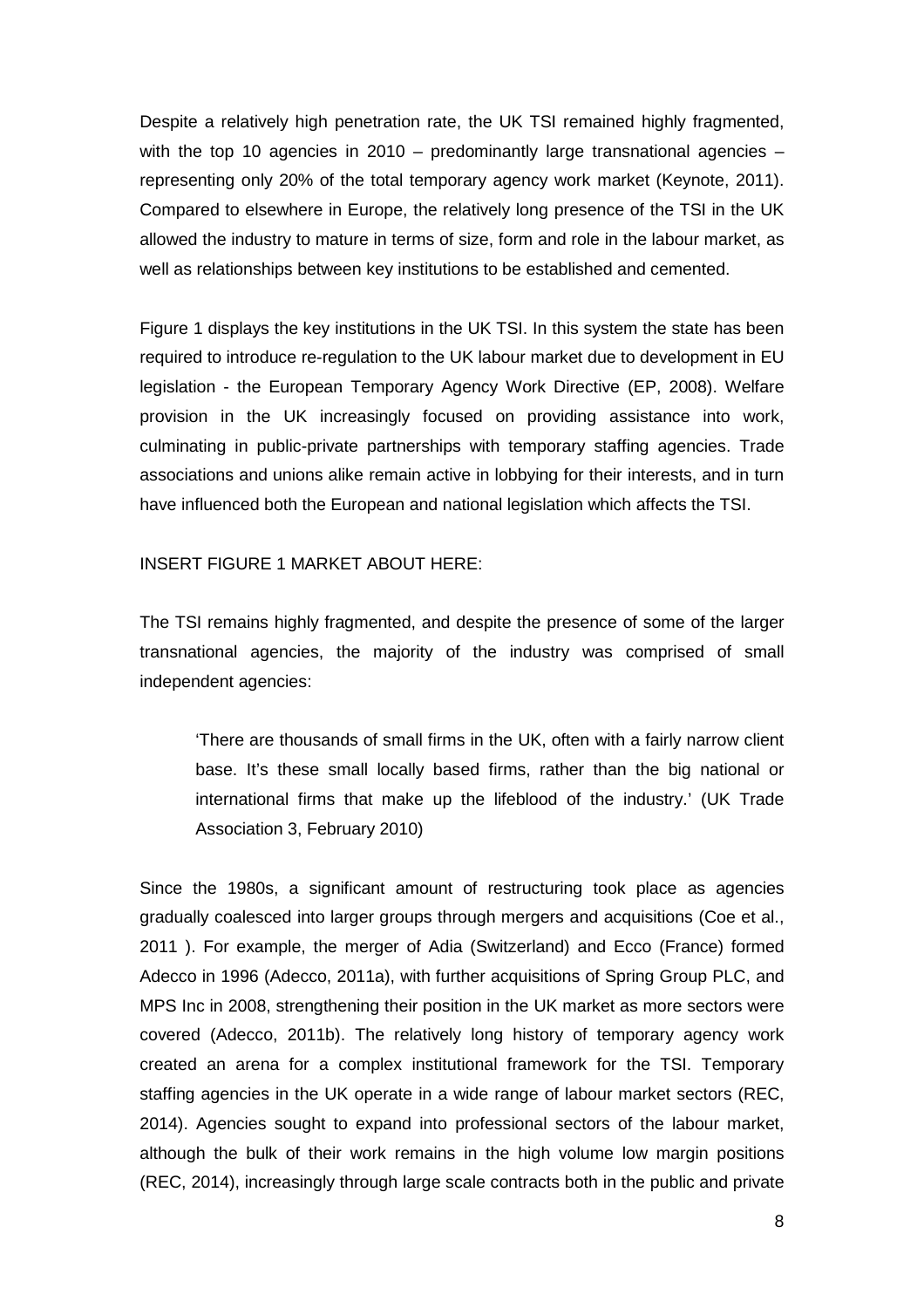Despite a relatively high penetration rate, the UK TSI remained highly fragmented, with the top 10 agencies in 2010 – predominantly large transnational agencies – representing only 20% of the total temporary agency work market (Keynote, 2011). Compared to elsewhere in Europe, the relatively long presence of the TSI in the UK allowed the industry to mature in terms of size, form and role in the labour market, as well as relationships between key institutions to be established and cemented.

Figure 1 displays the key institutions in the UK TSI. In this system the state has been required to introduce re-regulation to the UK labour market due to development in EU legislation - the European Temporary Agency Work Directive (EP, 2008). Welfare provision in the UK increasingly focused on providing assistance into work, culminating in public-private partnerships with temporary staffing agencies. Trade associations and unions alike remain active in lobbying for their interests, and in turn have influenced both the European and national legislation which affects the TSI.

INSERT FIGURE 1 MARKET ABOUT HERE:

The TSI remains highly fragmented, and despite the presence of some of the larger transnational agencies, the majority of the industry was comprised of small independent agencies:

'There are thousands of small firms in the UK, often with a fairly narrow client base. It's these small locally based firms, rather than the big national or international firms that make up the lifeblood of the industry.' (UK Trade Association 3, February 2010)

Since the 1980s, a significant amount of restructuring took place as agencies gradually coalesced into larger groups through mergers and acquisitions (Coe et al., 2011 ). For example, the merger of Adia (Switzerland) and Ecco (France) formed Adecco in 1996 (Adecco, 2011a), with further acquisitions of Spring Group PLC, and MPS Inc in 2008, strengthening their position in the UK market as more sectors were covered (Adecco, 2011b). The relatively long history of temporary agency work created an arena for a complex institutional framework for the TSI. Temporary staffing agencies in the UK operate in a wide range of labour market sectors (REC, 2014). Agencies sought to expand into professional sectors of the labour market, although the bulk of their work remains in the high volume low margin positions (REC, 2014), increasingly through large scale contracts both in the public and private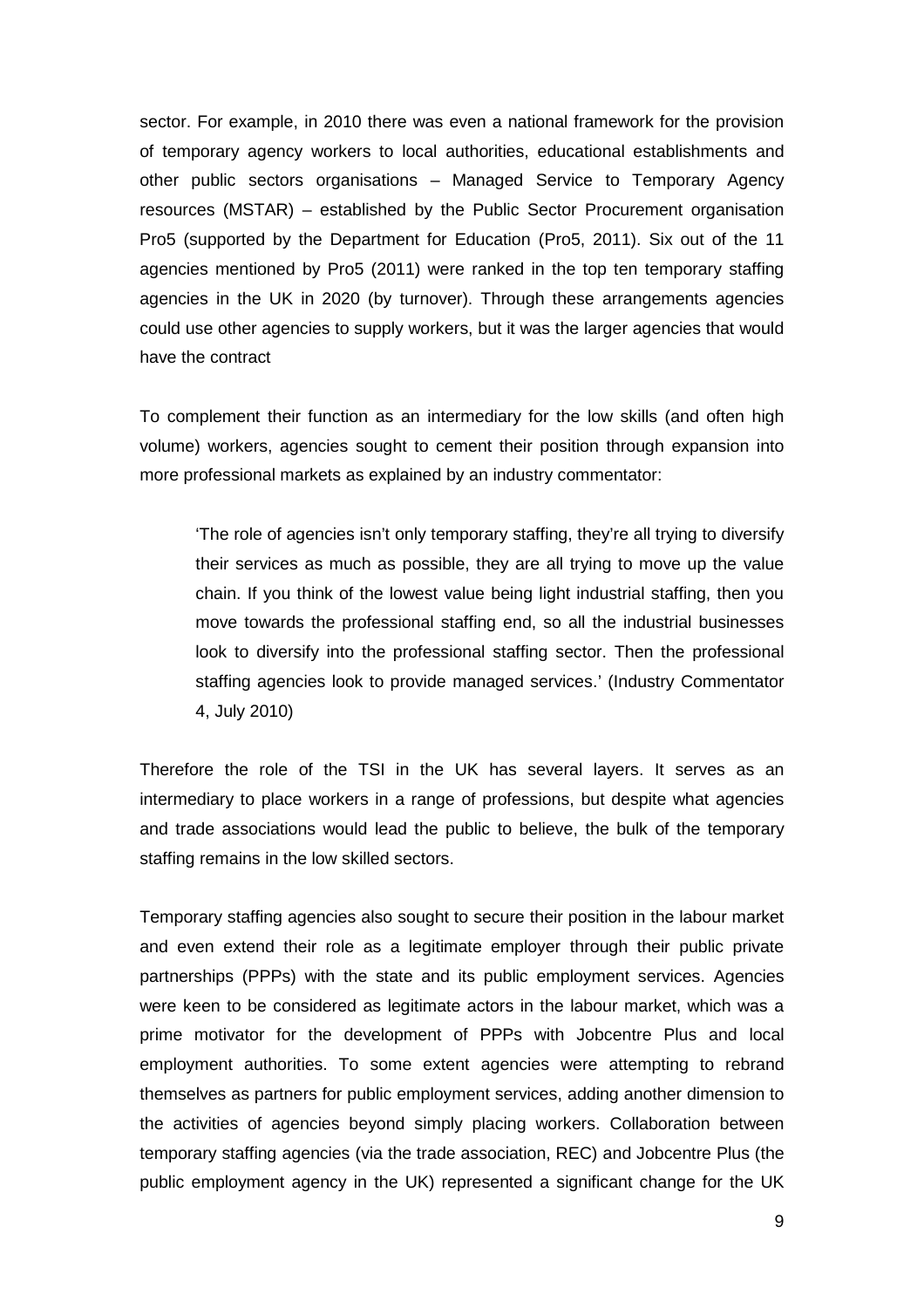sector. For example, in 2010 there was even a national framework for the provision of temporary agency workers to local authorities, educational establishments and other public sectors organisations – Managed Service to Temporary Agency resources (MSTAR) – established by the Public Sector Procurement organisation Pro5 (supported by the Department for Education (Pro5, 2011). Six out of the 11 agencies mentioned by Pro5 (2011) were ranked in the top ten temporary staffing agencies in the UK in 2020 (by turnover). Through these arrangements agencies could use other agencies to supply workers, but it was the larger agencies that would have the contract

To complement their function as an intermediary for the low skills (and often high volume) workers, agencies sought to cement their position through expansion into more professional markets as explained by an industry commentator:

'The role of agencies isn't only temporary staffing, they're all trying to diversify their services as much as possible, they are all trying to move up the value chain. If you think of the lowest value being light industrial staffing, then you move towards the professional staffing end, so all the industrial businesses look to diversify into the professional staffing sector. Then the professional staffing agencies look to provide managed services.' (Industry Commentator 4, July 2010)

Therefore the role of the TSI in the UK has several layers. It serves as an intermediary to place workers in a range of professions, but despite what agencies and trade associations would lead the public to believe, the bulk of the temporary staffing remains in the low skilled sectors.

Temporary staffing agencies also sought to secure their position in the labour market and even extend their role as a legitimate employer through their public private partnerships (PPPs) with the state and its public employment services. Agencies were keen to be considered as legitimate actors in the labour market, which was a prime motivator for the development of PPPs with Jobcentre Plus and local employment authorities. To some extent agencies were attempting to rebrand themselves as partners for public employment services, adding another dimension to the activities of agencies beyond simply placing workers. Collaboration between temporary staffing agencies (via the trade association, REC) and Jobcentre Plus (the public employment agency in the UK) represented a significant change for the UK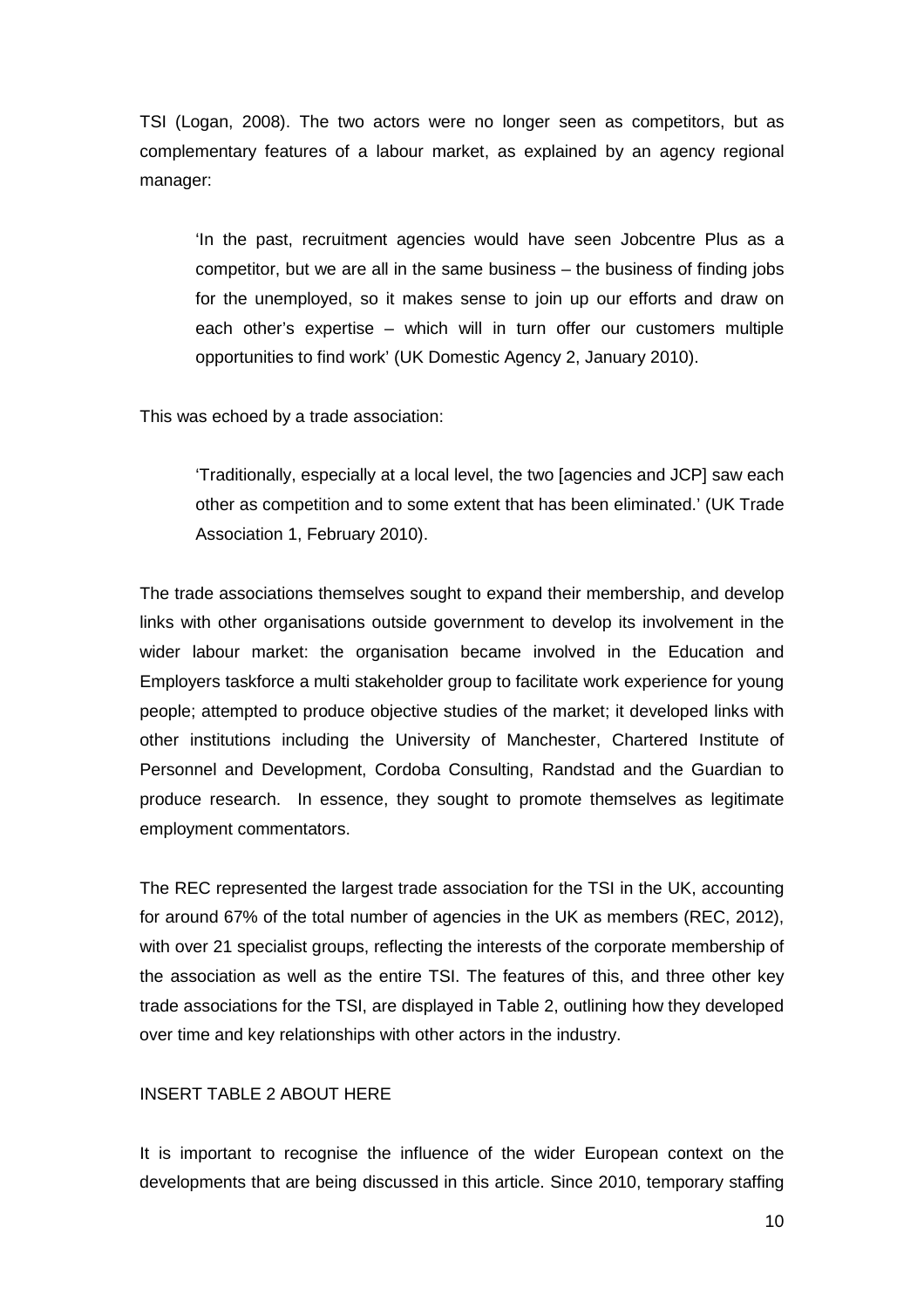TSI (Logan, 2008). The two actors were no longer seen as competitors, but as complementary features of a labour market, as explained by an agency regional manager:

'In the past, recruitment agencies would have seen Jobcentre Plus as a competitor, but we are all in the same business – the business of finding jobs for the unemployed, so it makes sense to join up our efforts and draw on each other's expertise – which will in turn offer our customers multiple opportunities to find work' (UK Domestic Agency 2, January 2010).

This was echoed by a trade association:

'Traditionally, especially at a local level, the two [agencies and JCP] saw each other as competition and to some extent that has been eliminated.' (UK Trade Association 1, February 2010).

The trade associations themselves sought to expand their membership, and develop links with other organisations outside government to develop its involvement in the wider labour market: the organisation became involved in the Education and Employers taskforce a multi stakeholder group to facilitate work experience for young people; attempted to produce objective studies of the market; it developed links with other institutions including the University of Manchester, Chartered Institute of Personnel and Development, Cordoba Consulting, Randstad and the Guardian to produce research. In essence, they sought to promote themselves as legitimate employment commentators.

The REC represented the largest trade association for the TSI in the UK, accounting for around 67% of the total number of agencies in the UK as members (REC, 2012), with over 21 specialist groups, reflecting the interests of the corporate membership of the association as well as the entire TSI. The features of this, and three other key trade associations for the TSI, are displayed in Table 2, outlining how they developed over time and key relationships with other actors in the industry.

#### INSERT TABLE 2 ABOUT HERE

It is important to recognise the influence of the wider European context on the developments that are being discussed in this article. Since 2010, temporary staffing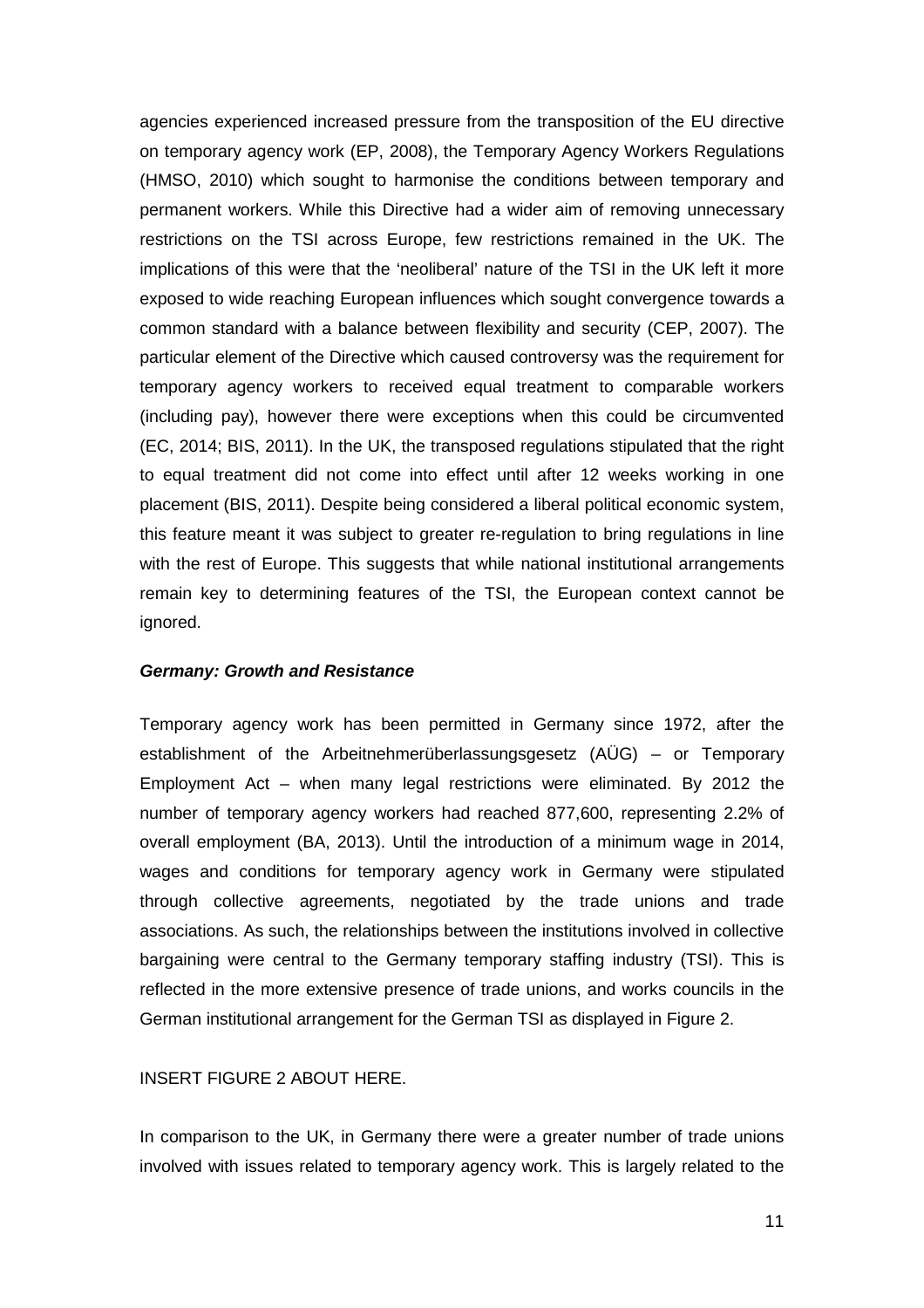agencies experienced increased pressure from the transposition of the EU directive on temporary agency work (EP, 2008), the Temporary Agency Workers Regulations (HMSO, 2010) which sought to harmonise the conditions between temporary and permanent workers. While this Directive had a wider aim of removing unnecessary restrictions on the TSI across Europe, few restrictions remained in the UK. The implications of this were that the 'neoliberal' nature of the TSI in the UK left it more exposed to wide reaching European influences which sought convergence towards a common standard with a balance between flexibility and security (CEP, 2007). The particular element of the Directive which caused controversy was the requirement for temporary agency workers to received equal treatment to comparable workers (including pay), however there were exceptions when this could be circumvented (EC, 2014; BIS, 2011). In the UK, the transposed regulations stipulated that the right to equal treatment did not come into effect until after 12 weeks working in one placement (BIS, 2011). Despite being considered a liberal political economic system, this feature meant it was subject to greater re-regulation to bring regulations in line with the rest of Europe. This suggests that while national institutional arrangements remain key to determining features of the TSI, the European context cannot be ignored.

#### *Germany: Growth and Resistance*

Temporary agency work has been permitted in Germany since 1972, after the establishment of the Arbeitnehmerüberlassungsgesetz (AÜG) – or Temporary Employment Act – when many legal restrictions were eliminated. By 2012 the number of temporary agency workers had reached 877,600, representing 2.2% of overall employment (BA, 2013). Until the introduction of a minimum wage in 2014, wages and conditions for temporary agency work in Germany were stipulated through collective agreements, negotiated by the trade unions and trade associations. As such, the relationships between the institutions involved in collective bargaining were central to the Germany temporary staffing industry (TSI). This is reflected in the more extensive presence of trade unions, and works councils in the German institutional arrangement for the German TSI as displayed in Figure 2.

## INSERT FIGURE 2 ABOUT HERE.

In comparison to the UK, in Germany there were a greater number of trade unions involved with issues related to temporary agency work. This is largely related to the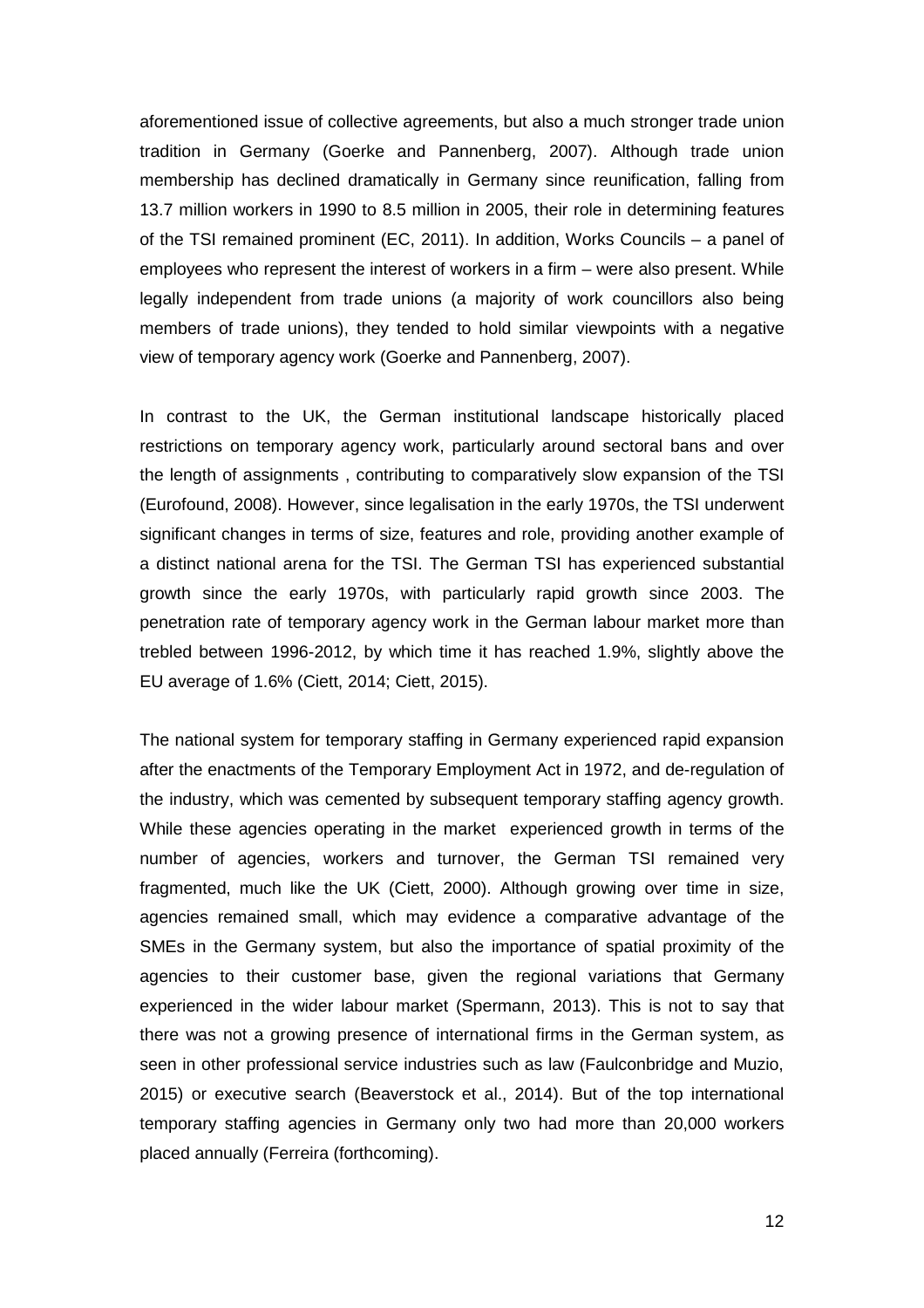aforementioned issue of collective agreements, but also a much stronger trade union tradition in Germany (Goerke and Pannenberg, 2007). Although trade union membership has declined dramatically in Germany since reunification, falling from 13.7 million workers in 1990 to 8.5 million in 2005, their role in determining features of the TSI remained prominent (EC, 2011). In addition, Works Councils – a panel of employees who represent the interest of workers in a firm – were also present. While legally independent from trade unions (a majority of work councillors also being members of trade unions), they tended to hold similar viewpoints with a negative view of temporary agency work (Goerke and Pannenberg, 2007).

In contrast to the UK, the German institutional landscape historically placed restrictions on temporary agency work, particularly around sectoral bans and over the length of assignments , contributing to comparatively slow expansion of the TSI (Eurofound, 2008). However, since legalisation in the early 1970s, the TSI underwent significant changes in terms of size, features and role, providing another example of a distinct national arena for the TSI. The German TSI has experienced substantial growth since the early 1970s, with particularly rapid growth since 2003. The penetration rate of temporary agency work in the German labour market more than trebled between 1996-2012, by which time it has reached 1.9%, slightly above the EU average of 1.6% (Ciett, 2014; Ciett, 2015).

The national system for temporary staffing in Germany experienced rapid expansion after the enactments of the Temporary Employment Act in 1972, and de-regulation of the industry, which was cemented by subsequent temporary staffing agency growth. While these agencies operating in the market experienced growth in terms of the number of agencies, workers and turnover, the German TSI remained very fragmented, much like the UK (Ciett, 2000). Although growing over time in size, agencies remained small, which may evidence a comparative advantage of the SMEs in the Germany system, but also the importance of spatial proximity of the agencies to their customer base, given the regional variations that Germany experienced in the wider labour market (Spermann, 2013). This is not to say that there was not a growing presence of international firms in the German system, as seen in other professional service industries such as law (Faulconbridge and Muzio, 2015) or executive search (Beaverstock et al., 2014). But of the top international temporary staffing agencies in Germany only two had more than 20,000 workers placed annually (Ferreira (forthcoming).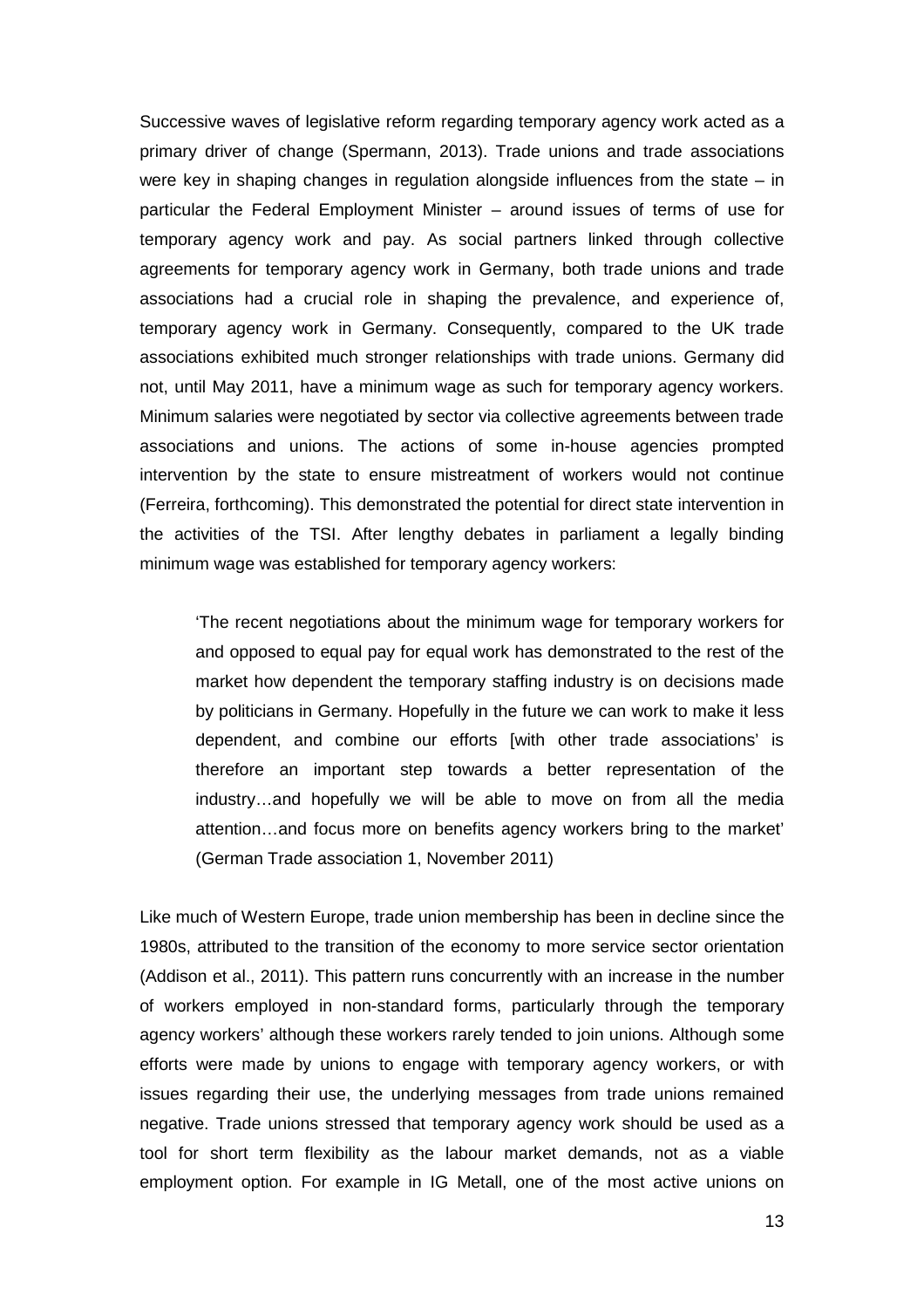Successive waves of legislative reform regarding temporary agency work acted as a primary driver of change (Spermann, 2013). Trade unions and trade associations were key in shaping changes in regulation alongside influences from the state – in particular the Federal Employment Minister – around issues of terms of use for temporary agency work and pay. As social partners linked through collective agreements for temporary agency work in Germany, both trade unions and trade associations had a crucial role in shaping the prevalence, and experience of, temporary agency work in Germany. Consequently, compared to the UK trade associations exhibited much stronger relationships with trade unions. Germany did not, until May 2011, have a minimum wage as such for temporary agency workers. Minimum salaries were negotiated by sector via collective agreements between trade associations and unions. The actions of some in-house agencies prompted intervention by the state to ensure mistreatment of workers would not continue (Ferreira, forthcoming). This demonstrated the potential for direct state intervention in the activities of the TSI. After lengthy debates in parliament a legally binding minimum wage was established for temporary agency workers:

'The recent negotiations about the minimum wage for temporary workers for and opposed to equal pay for equal work has demonstrated to the rest of the market how dependent the temporary staffing industry is on decisions made by politicians in Germany. Hopefully in the future we can work to make it less dependent, and combine our efforts [with other trade associations' is therefore an important step towards a better representation of the industry…and hopefully we will be able to move on from all the media attention…and focus more on benefits agency workers bring to the market' (German Trade association 1, November 2011)

Like much of Western Europe, trade union membership has been in decline since the 1980s, attributed to the transition of the economy to more service sector orientation (Addison et al., 2011). This pattern runs concurrently with an increase in the number of workers employed in non-standard forms, particularly through the temporary agency workers' although these workers rarely tended to join unions. Although some efforts were made by unions to engage with temporary agency workers, or with issues regarding their use, the underlying messages from trade unions remained negative. Trade unions stressed that temporary agency work should be used as a tool for short term flexibility as the labour market demands, not as a viable employment option. For example in IG Metall, one of the most active unions on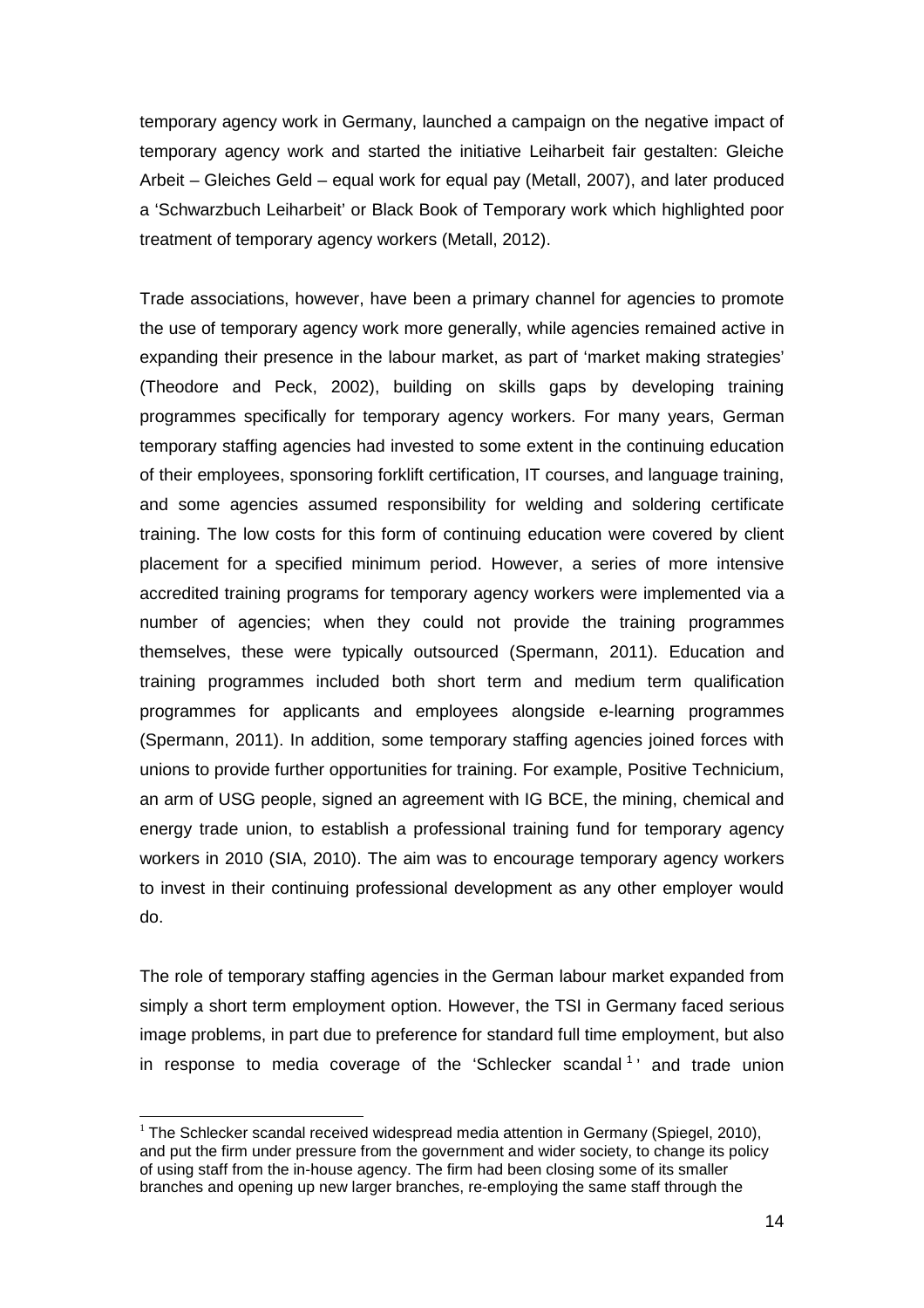temporary agency work in Germany, launched a campaign on the negative impact of temporary agency work and started the initiative Leiharbeit fair gestalten: Gleiche Arbeit – Gleiches Geld – equal work for equal pay (Metall, 2007), and later produced a 'Schwarzbuch Leiharbeit' or Black Book of Temporary work which highlighted poor treatment of temporary agency workers (Metall, 2012).

Trade associations, however, have been a primary channel for agencies to promote the use of temporary agency work more generally, while agencies remained active in expanding their presence in the labour market, as part of 'market making strategies' (Theodore and Peck, 2002), building on skills gaps by developing training programmes specifically for temporary agency workers. For many years, German temporary staffing agencies had invested to some extent in the continuing education of their employees, sponsoring forklift certification, IT courses, and language training, and some agencies assumed responsibility for welding and soldering certificate training. The low costs for this form of continuing education were covered by client placement for a specified minimum period. However, a series of more intensive accredited training programs for temporary agency workers were implemented via a number of agencies; when they could not provide the training programmes themselves, these were typically outsourced (Spermann, 2011). Education and training programmes included both short term and medium term qualification programmes for applicants and employees alongside e-learning programmes (Spermann, 2011). In addition, some temporary staffing agencies joined forces with unions to provide further opportunities for training. For example, Positive Technicium, an arm of USG people, signed an agreement with IG BCE, the mining, chemical and energy trade union, to establish a professional training fund for temporary agency workers in 2010 (SIA, 2010). The aim was to encourage temporary agency workers to invest in their continuing professional development as any other employer would do.

The role of temporary staffing agencies in the German labour market expanded from simply a short term employment option. However, the TSI in Germany faced serious image problems, in part due to preference for standard full time employment, but also in response to media coverage of the 'Schlecker scandal<sup>[1](#page-1-0)</sup>' and trade union

<sup>&</sup>lt;sup>1</sup> The Schlecker scandal received widespread media attention in Germany (Spiegel, 2010), and put the firm under pressure from the government and wider society, to change its policy of using staff from the in-house agency. The firm had been closing some of its smaller branches and opening up new larger branches, re-employing the same staff through the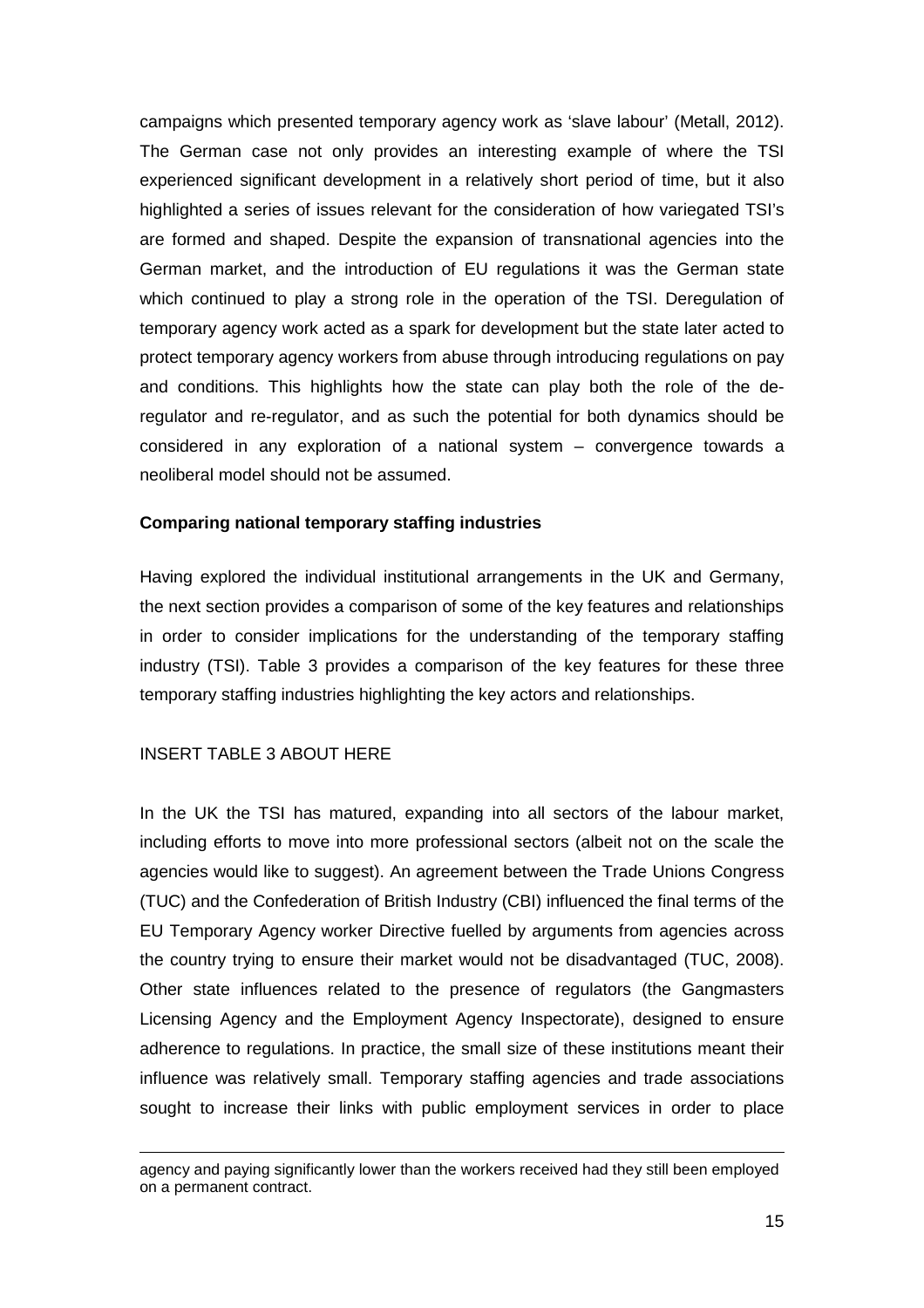campaigns which presented temporary agency work as 'slave labour' (Metall, 2012). The German case not only provides an interesting example of where the TSI experienced significant development in a relatively short period of time, but it also highlighted a series of issues relevant for the consideration of how variegated TSI's are formed and shaped. Despite the expansion of transnational agencies into the German market, and the introduction of EU regulations it was the German state which continued to play a strong role in the operation of the TSI. Deregulation of temporary agency work acted as a spark for development but the state later acted to protect temporary agency workers from abuse through introducing regulations on pay and conditions. This highlights how the state can play both the role of the deregulator and re-regulator, and as such the potential for both dynamics should be considered in any exploration of a national system – convergence towards a neoliberal model should not be assumed.

### **Comparing national temporary staffing industries**

Having explored the individual institutional arrangements in the UK and Germany, the next section provides a comparison of some of the key features and relationships in order to consider implications for the understanding of the temporary staffing industry (TSI). Table 3 provides a comparison of the key features for these three temporary staffing industries highlighting the key actors and relationships.

## INSERT TABLE 3 ABOUT HERE

In the UK the TSI has matured, expanding into all sectors of the labour market, including efforts to move into more professional sectors (albeit not on the scale the agencies would like to suggest). An agreement between the Trade Unions Congress (TUC) and the Confederation of British Industry (CBI) influenced the final terms of the EU Temporary Agency worker Directive fuelled by arguments from agencies across the country trying to ensure their market would not be disadvantaged (TUC, 2008). Other state influences related to the presence of regulators (the Gangmasters Licensing Agency and the Employment Agency Inspectorate), designed to ensure adherence to regulations. In practice, the small size of these institutions meant their influence was relatively small. Temporary staffing agencies and trade associations sought to increase their links with public employment services in order to place

agency and paying significantly lower than the workers received had they still been employed on a permanent contract.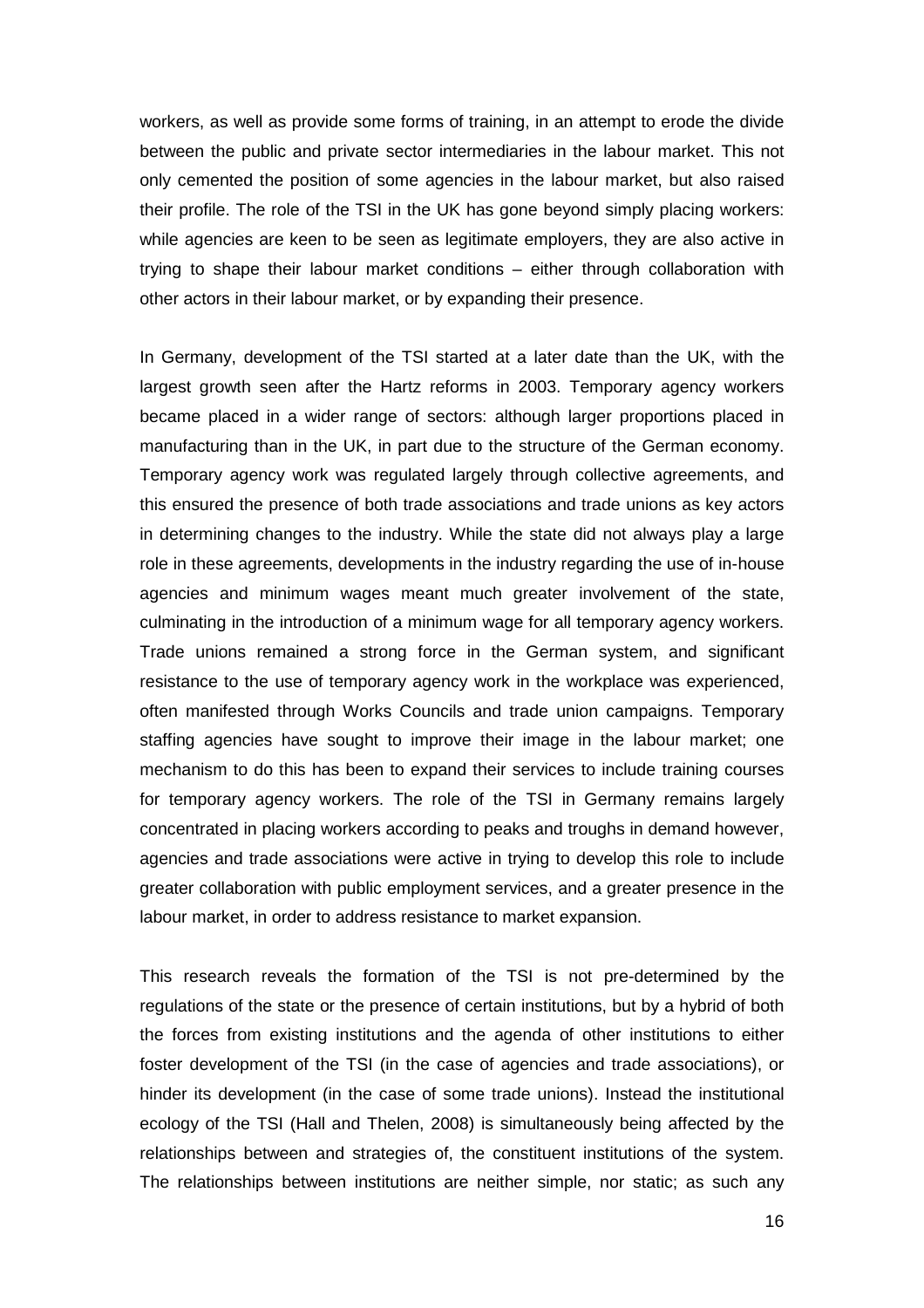workers, as well as provide some forms of training, in an attempt to erode the divide between the public and private sector intermediaries in the labour market. This not only cemented the position of some agencies in the labour market, but also raised their profile. The role of the TSI in the UK has gone beyond simply placing workers: while agencies are keen to be seen as legitimate employers, they are also active in trying to shape their labour market conditions – either through collaboration with other actors in their labour market, or by expanding their presence.

In Germany, development of the TSI started at a later date than the UK, with the largest growth seen after the Hartz reforms in 2003. Temporary agency workers became placed in a wider range of sectors: although larger proportions placed in manufacturing than in the UK, in part due to the structure of the German economy. Temporary agency work was regulated largely through collective agreements, and this ensured the presence of both trade associations and trade unions as key actors in determining changes to the industry. While the state did not always play a large role in these agreements, developments in the industry regarding the use of in-house agencies and minimum wages meant much greater involvement of the state, culminating in the introduction of a minimum wage for all temporary agency workers. Trade unions remained a strong force in the German system, and significant resistance to the use of temporary agency work in the workplace was experienced, often manifested through Works Councils and trade union campaigns. Temporary staffing agencies have sought to improve their image in the labour market; one mechanism to do this has been to expand their services to include training courses for temporary agency workers. The role of the TSI in Germany remains largely concentrated in placing workers according to peaks and troughs in demand however, agencies and trade associations were active in trying to develop this role to include greater collaboration with public employment services, and a greater presence in the labour market, in order to address resistance to market expansion.

This research reveals the formation of the TSI is not pre-determined by the regulations of the state or the presence of certain institutions, but by a hybrid of both the forces from existing institutions and the agenda of other institutions to either foster development of the TSI (in the case of agencies and trade associations), or hinder its development (in the case of some trade unions). Instead the institutional ecology of the TSI (Hall and Thelen, 2008) is simultaneously being affected by the relationships between and strategies of, the constituent institutions of the system. The relationships between institutions are neither simple, nor static; as such any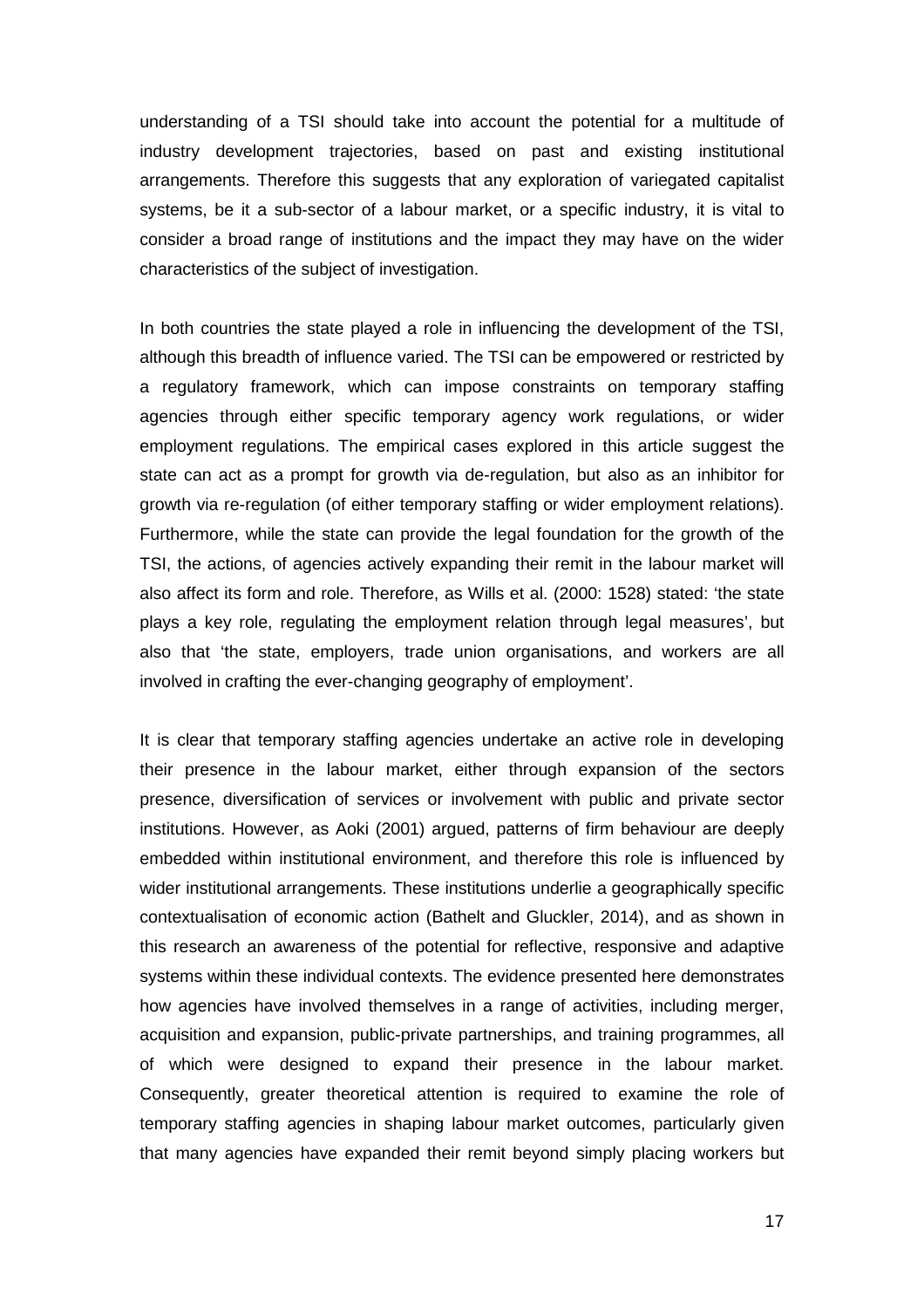understanding of a TSI should take into account the potential for a multitude of industry development trajectories, based on past and existing institutional arrangements. Therefore this suggests that any exploration of variegated capitalist systems, be it a sub-sector of a labour market, or a specific industry, it is vital to consider a broad range of institutions and the impact they may have on the wider characteristics of the subject of investigation.

In both countries the state played a role in influencing the development of the TSI, although this breadth of influence varied. The TSI can be empowered or restricted by a regulatory framework, which can impose constraints on temporary staffing agencies through either specific temporary agency work regulations, or wider employment regulations. The empirical cases explored in this article suggest the state can act as a prompt for growth via de-regulation, but also as an inhibitor for growth via re-regulation (of either temporary staffing or wider employment relations). Furthermore, while the state can provide the legal foundation for the growth of the TSI, the actions, of agencies actively expanding their remit in the labour market will also affect its form and role. Therefore, as Wills et al. (2000: 1528) stated: 'the state plays a key role, regulating the employment relation through legal measures', but also that 'the state, employers, trade union organisations, and workers are all involved in crafting the ever-changing geography of employment'.

It is clear that temporary staffing agencies undertake an active role in developing their presence in the labour market, either through expansion of the sectors presence, diversification of services or involvement with public and private sector institutions. However, as Aoki (2001) argued, patterns of firm behaviour are deeply embedded within institutional environment, and therefore this role is influenced by wider institutional arrangements. These institutions underlie a geographically specific contextualisation of economic action (Bathelt and Gluckler, 2014), and as shown in this research an awareness of the potential for reflective, responsive and adaptive systems within these individual contexts. The evidence presented here demonstrates how agencies have involved themselves in a range of activities, including merger, acquisition and expansion, public-private partnerships, and training programmes, all of which were designed to expand their presence in the labour market. Consequently, greater theoretical attention is required to examine the role of temporary staffing agencies in shaping labour market outcomes, particularly given that many agencies have expanded their remit beyond simply placing workers but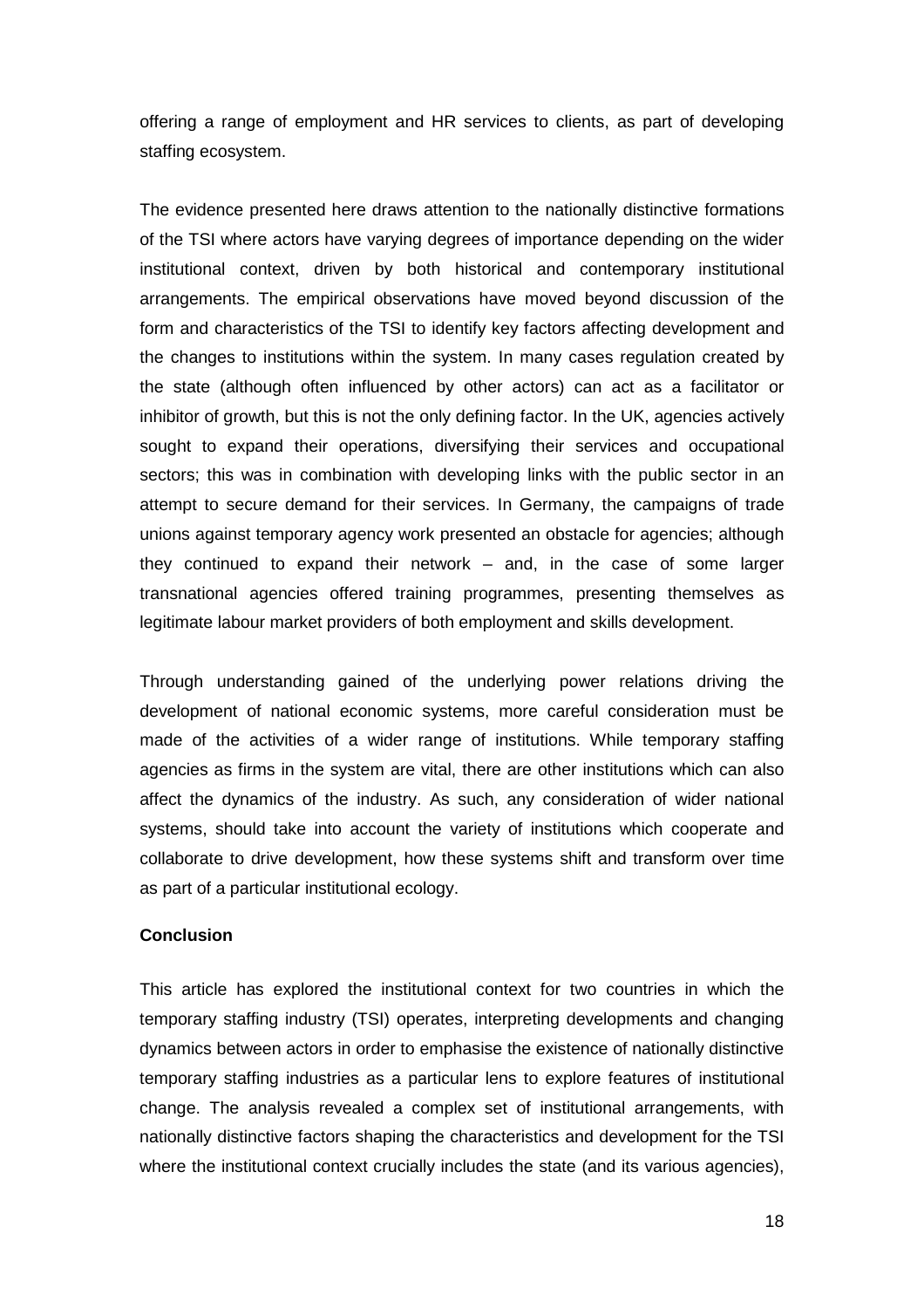offering a range of employment and HR services to clients, as part of developing staffing ecosystem.

The evidence presented here draws attention to the nationally distinctive formations of the TSI where actors have varying degrees of importance depending on the wider institutional context, driven by both historical and contemporary institutional arrangements. The empirical observations have moved beyond discussion of the form and characteristics of the TSI to identify key factors affecting development and the changes to institutions within the system. In many cases regulation created by the state (although often influenced by other actors) can act as a facilitator or inhibitor of growth, but this is not the only defining factor. In the UK, agencies actively sought to expand their operations, diversifying their services and occupational sectors; this was in combination with developing links with the public sector in an attempt to secure demand for their services. In Germany, the campaigns of trade unions against temporary agency work presented an obstacle for agencies; although they continued to expand their network – and, in the case of some larger transnational agencies offered training programmes, presenting themselves as legitimate labour market providers of both employment and skills development.

Through understanding gained of the underlying power relations driving the development of national economic systems, more careful consideration must be made of the activities of a wider range of institutions. While temporary staffing agencies as firms in the system are vital, there are other institutions which can also affect the dynamics of the industry. As such, any consideration of wider national systems, should take into account the variety of institutions which cooperate and collaborate to drive development, how these systems shift and transform over time as part of a particular institutional ecology.

## **Conclusion**

This article has explored the institutional context for two countries in which the temporary staffing industry (TSI) operates, interpreting developments and changing dynamics between actors in order to emphasise the existence of nationally distinctive temporary staffing industries as a particular lens to explore features of institutional change. The analysis revealed a complex set of institutional arrangements, with nationally distinctive factors shaping the characteristics and development for the TSI where the institutional context crucially includes the state (and its various agencies),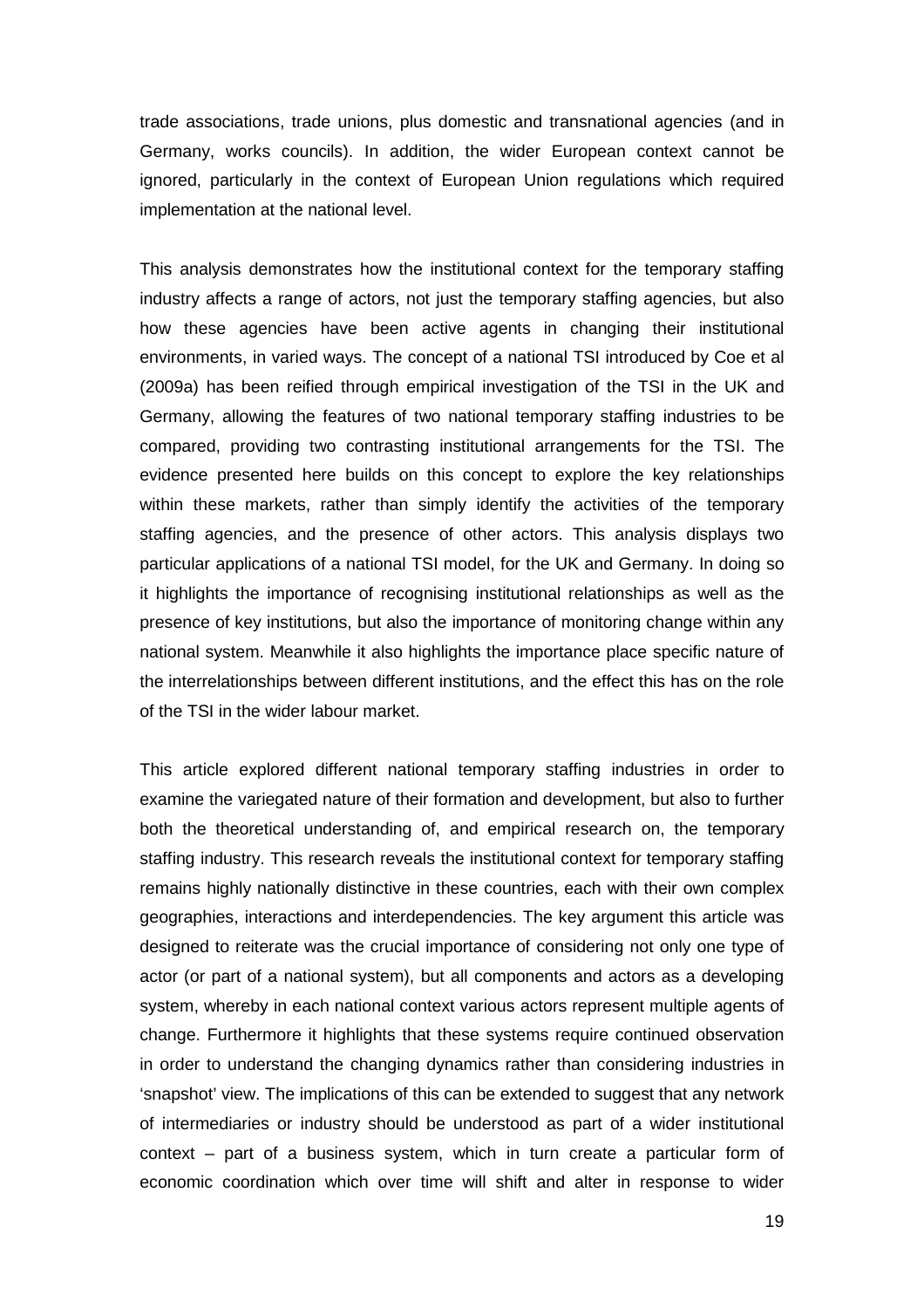trade associations, trade unions, plus domestic and transnational agencies (and in Germany, works councils). In addition, the wider European context cannot be ignored, particularly in the context of European Union regulations which required implementation at the national level.

This analysis demonstrates how the institutional context for the temporary staffing industry affects a range of actors, not just the temporary staffing agencies, but also how these agencies have been active agents in changing their institutional environments, in varied ways. The concept of a national TSI introduced by Coe et al (2009a) has been reified through empirical investigation of the TSI in the UK and Germany, allowing the features of two national temporary staffing industries to be compared, providing two contrasting institutional arrangements for the TSI. The evidence presented here builds on this concept to explore the key relationships within these markets, rather than simply identify the activities of the temporary staffing agencies, and the presence of other actors. This analysis displays two particular applications of a national TSI model, for the UK and Germany. In doing so it highlights the importance of recognising institutional relationships as well as the presence of key institutions, but also the importance of monitoring change within any national system. Meanwhile it also highlights the importance place specific nature of the interrelationships between different institutions, and the effect this has on the role of the TSI in the wider labour market.

This article explored different national temporary staffing industries in order to examine the variegated nature of their formation and development, but also to further both the theoretical understanding of, and empirical research on, the temporary staffing industry. This research reveals the institutional context for temporary staffing remains highly nationally distinctive in these countries, each with their own complex geographies, interactions and interdependencies. The key argument this article was designed to reiterate was the crucial importance of considering not only one type of actor (or part of a national system), but all components and actors as a developing system, whereby in each national context various actors represent multiple agents of change. Furthermore it highlights that these systems require continued observation in order to understand the changing dynamics rather than considering industries in 'snapshot' view. The implications of this can be extended to suggest that any network of intermediaries or industry should be understood as part of a wider institutional context – part of a business system, which in turn create a particular form of economic coordination which over time will shift and alter in response to wider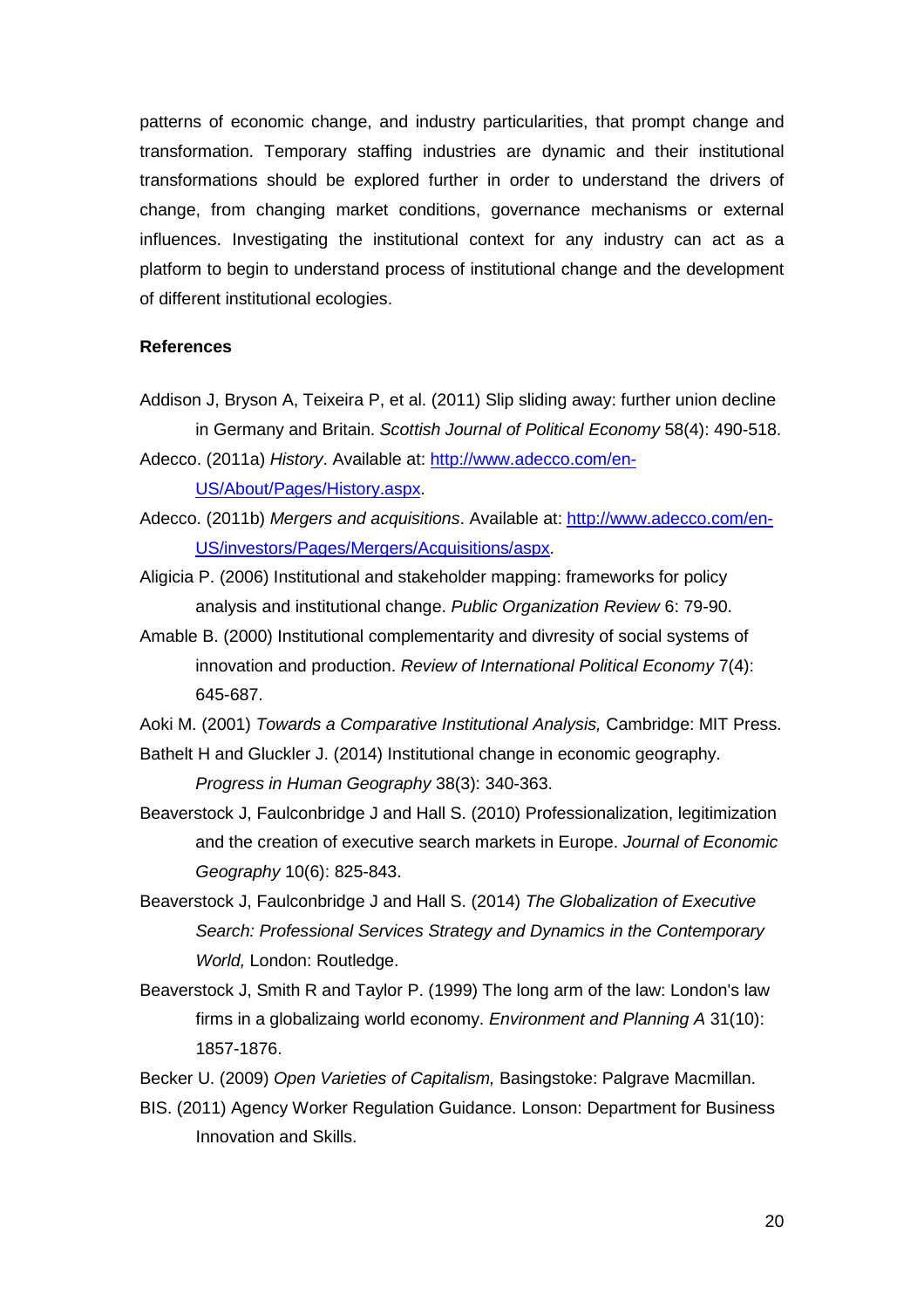patterns of economic change, and industry particularities, that prompt change and transformation. Temporary staffing industries are dynamic and their institutional transformations should be explored further in order to understand the drivers of change, from changing market conditions, governance mechanisms or external influences. Investigating the institutional context for any industry can act as a platform to begin to understand process of institutional change and the development of different institutional ecologies.

#### **References**

- Addison J, Bryson A, Teixeira P, et al. (2011) Slip sliding away: further union decline in Germany and Britain. *Scottish Journal of Political Economy* 58(4): 490-518.
- Adecco. (2011a) *History*. Available at: [http://www.adecco.com/en-](http://www.adecco.com/en-US/About/Pages/History.aspx)[US/About/Pages/History.aspx.](http://www.adecco.com/en-US/About/Pages/History.aspx)
- Adecco. (2011b) *Mergers and acquisitions*. Available at: [http://www.adecco.com/en-](http://www.adecco.com/en-US/investors/Pages/Mergers/Acquisitions/aspx)[US/investors/Pages/Mergers/Acquisitions/aspx.](http://www.adecco.com/en-US/investors/Pages/Mergers/Acquisitions/aspx)
- Aligicia P. (2006) Institutional and stakeholder mapping: frameworks for policy analysis and institutional change. *Public Organization Review* 6: 79-90.
- Amable B. (2000) Institutional complementarity and divresity of social systems of innovation and production. *Review of International Political Economy* 7(4): 645-687.

Aoki M. (2001) *Towards a Comparative Institutional Analysis,* Cambridge: MIT Press. Bathelt H and Gluckler J. (2014) Institutional change in economic geography. *Progress in Human Geography* 38(3): 340-363.

- Beaverstock J, Faulconbridge J and Hall S. (2010) Professionalization, legitimization and the creation of executive search markets in Europe. *Journal of Economic Geography* 10(6): 825-843.
- Beaverstock J, Faulconbridge J and Hall S. (2014) *The Globalization of Executive Search: Professional Services Strategy and Dynamics in the Contemporary World,* London: Routledge.
- Beaverstock J, Smith R and Taylor P. (1999) The long arm of the law: London's law firms in a globalizaing world economy. *Environment and Planning A* 31(10): 1857-1876.
- Becker U. (2009) *Open Varieties of Capitalism,* Basingstoke: Palgrave Macmillan.
- BIS. (2011) Agency Worker Regulation Guidance. Lonson: Department for Business Innovation and Skills.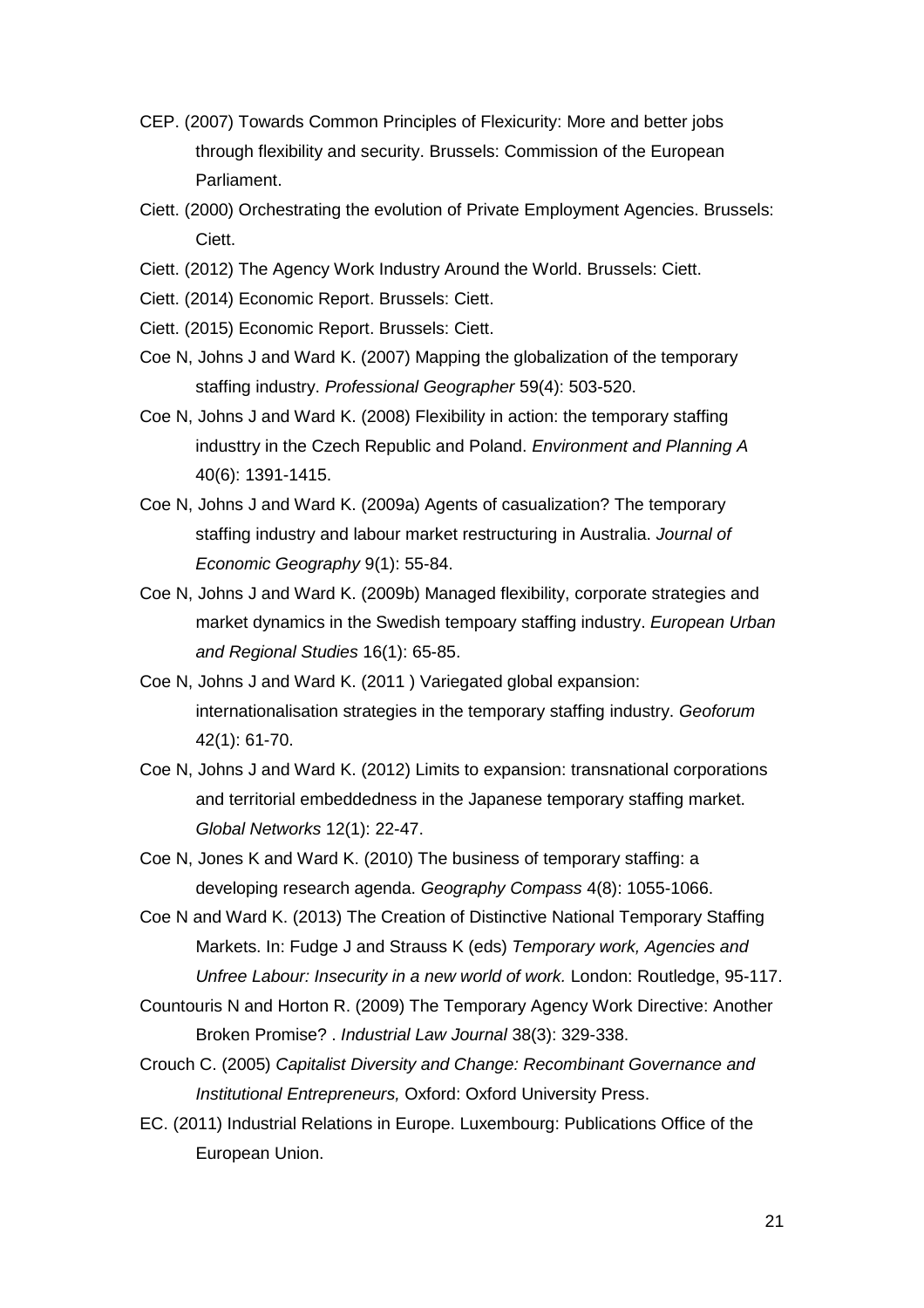- CEP. (2007) Towards Common Principles of Flexicurity: More and better jobs through flexibility and security. Brussels: Commission of the European Parliament.
- Ciett. (2000) Orchestrating the evolution of Private Employment Agencies. Brussels: Ciett.
- Ciett. (2012) The Agency Work Industry Around the World. Brussels: Ciett.
- Ciett. (2014) Economic Report. Brussels: Ciett.
- Ciett. (2015) Economic Report. Brussels: Ciett.
- Coe N, Johns J and Ward K. (2007) Mapping the globalization of the temporary staffing industry. *Professional Geographer* 59(4): 503-520.
- Coe N, Johns J and Ward K. (2008) Flexibility in action: the temporary staffing industtry in the Czech Republic and Poland. *Environment and Planning A* 40(6): 1391-1415.
- Coe N, Johns J and Ward K. (2009a) Agents of casualization? The temporary staffing industry and labour market restructuring in Australia. *Journal of Economic Geography* 9(1): 55-84.
- Coe N, Johns J and Ward K. (2009b) Managed flexibility, corporate strategies and market dynamics in the Swedish tempoary staffing industry. *European Urban and Regional Studies* 16(1): 65-85.
- Coe N, Johns J and Ward K. (2011 ) Variegated global expansion: internationalisation strategies in the temporary staffing industry. *Geoforum* 42(1): 61-70.
- Coe N, Johns J and Ward K. (2012) Limits to expansion: transnational corporations and territorial embeddedness in the Japanese temporary staffing market. *Global Networks* 12(1): 22-47.
- Coe N, Jones K and Ward K. (2010) The business of temporary staffing: a developing research agenda. *Geography Compass* 4(8): 1055-1066.
- Coe N and Ward K. (2013) The Creation of Distinctive National Temporary Staffing Markets. In: Fudge J and Strauss K (eds) *Temporary work, Agencies and Unfree Labour: Insecurity in a new world of work.* London: Routledge, 95-117.
- Countouris N and Horton R. (2009) The Temporary Agency Work Directive: Another Broken Promise? . *Industrial Law Journal* 38(3): 329-338.
- Crouch C. (2005) *Capitalist Diversity and Change: Recombinant Governance and Institutional Entrepreneurs,* Oxford: Oxford University Press.
- EC. (2011) Industrial Relations in Europe. Luxembourg: Publications Office of the European Union.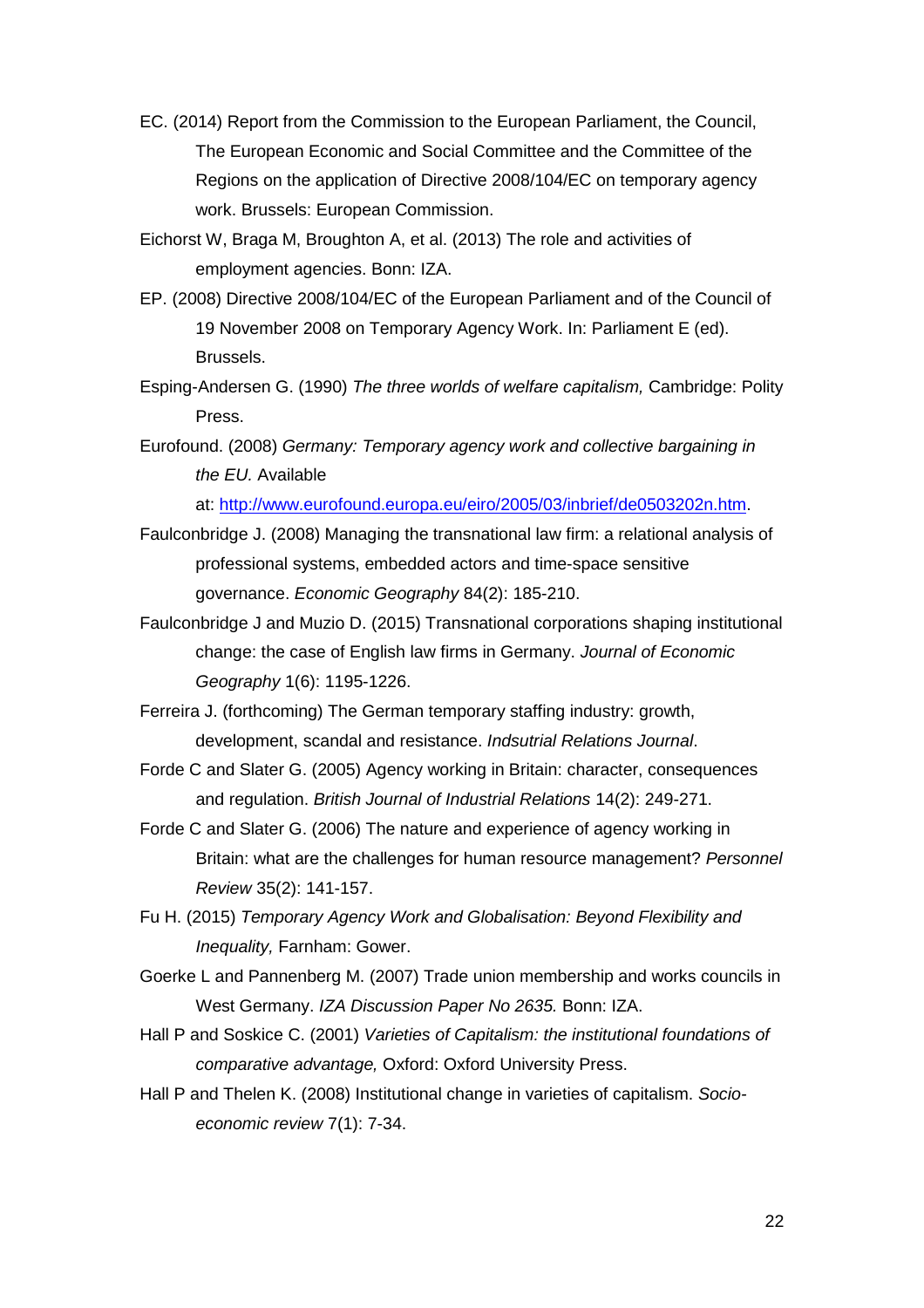- EC. (2014) Report from the Commission to the European Parliament, the Council, The European Economic and Social Committee and the Committee of the Regions on the application of Directive 2008/104/EC on temporary agency work. Brussels: European Commission.
- Eichorst W, Braga M, Broughton A, et al. (2013) The role and activities of employment agencies. Bonn: IZA.
- EP. (2008) Directive 2008/104/EC of the European Parliament and of the Council of 19 November 2008 on Temporary Agency Work. In: Parliament E (ed). Brussels.
- Esping-Andersen G. (1990) *The three worlds of welfare capitalism,* Cambridge: Polity Press.
- Eurofound. (2008) *Germany: Temporary agency work and collective bargaining in the EU.* Available

at: [http://www.eurofound.europa.eu/eiro/2005/03/inbrief/de0503202n.htm.](http://www.eurofound.europa.eu/eiro/2005/03/inbrief/de0503202n.htm)

- Faulconbridge J. (2008) Managing the transnational law firm: a relational analysis of professional systems, embedded actors and time-space sensitive governance. *Economic Geography* 84(2): 185-210.
- Faulconbridge J and Muzio D. (2015) Transnational corporations shaping institutional change: the case of English law firms in Germany. *Journal of Economic Geography* 1(6): 1195-1226.
- Ferreira J. (forthcoming) The German temporary staffing industry: growth, development, scandal and resistance. *Indsutrial Relations Journal*.
- Forde C and Slater G. (2005) Agency working in Britain: character, consequences and regulation. *British Journal of Industrial Relations* 14(2): 249-271.
- Forde C and Slater G. (2006) The nature and experience of agency working in Britain: what are the challenges for human resource management? *Personnel Review* 35(2): 141-157.
- Fu H. (2015) *Temporary Agency Work and Globalisation: Beyond Flexibility and Inequality,* Farnham: Gower.
- Goerke L and Pannenberg M. (2007) Trade union membership and works councils in West Germany. *IZA Discussion Paper No 2635.* Bonn: IZA.
- Hall P and Soskice C. (2001) *Varieties of Capitalism: the institutional foundations of comparative advantage,* Oxford: Oxford University Press.
- Hall P and Thelen K. (2008) Institutional change in varieties of capitalism. *Socioeconomic review* 7(1): 7-34.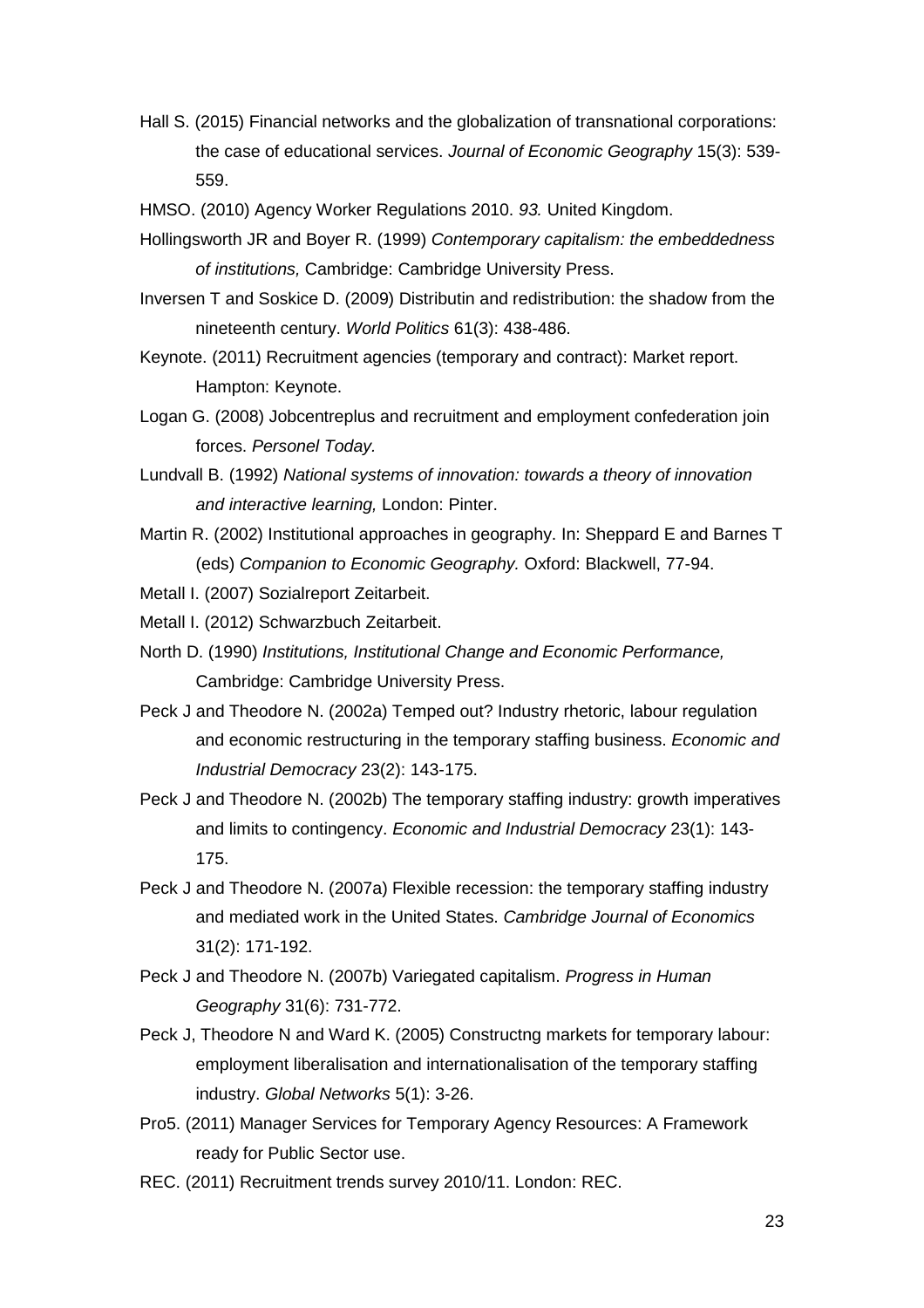- Hall S. (2015) Financial networks and the globalization of transnational corporations: the case of educational services. *Journal of Economic Geography* 15(3): 539- 559.
- HMSO. (2010) Agency Worker Regulations 2010. *93.* United Kingdom.
- Hollingsworth JR and Boyer R. (1999) *Contemporary capitalism: the embeddedness of institutions,* Cambridge: Cambridge University Press.
- Inversen T and Soskice D. (2009) Distributin and redistribution: the shadow from the nineteenth century. *World Politics* 61(3): 438-486.
- Keynote. (2011) Recruitment agencies (temporary and contract): Market report. Hampton: Keynote.
- Logan G. (2008) Jobcentreplus and recruitment and employment confederation join forces. *Personel Today.*
- Lundvall B. (1992) *National systems of innovation: towards a theory of innovation and interactive learning,* London: Pinter.
- Martin R. (2002) Institutional approaches in geography. In: Sheppard E and Barnes T (eds) *Companion to Economic Geography.* Oxford: Blackwell, 77-94.
- Metall I. (2007) Sozialreport Zeitarbeit.
- Metall I. (2012) Schwarzbuch Zeitarbeit.
- North D. (1990) *Institutions, Institutional Change and Economic Performance,*  Cambridge: Cambridge University Press.
- Peck J and Theodore N. (2002a) Temped out? Industry rhetoric, labour regulation and economic restructuring in the temporary staffing business. *Economic and Industrial Democracy* 23(2): 143-175.
- Peck J and Theodore N. (2002b) The temporary staffing industry: growth imperatives and limits to contingency. *Economic and Industrial Democracy* 23(1): 143- 175.
- Peck J and Theodore N. (2007a) Flexible recession: the temporary staffing industry and mediated work in the United States. *Cambridge Journal of Economics* 31(2): 171-192.
- Peck J and Theodore N. (2007b) Variegated capitalism. *Progress in Human Geography* 31(6): 731-772.
- Peck J, Theodore N and Ward K. (2005) Constructng markets for temporary labour: employment liberalisation and internationalisation of the temporary staffing industry. *Global Networks* 5(1): 3-26.
- Pro5. (2011) Manager Services for Temporary Agency Resources: A Framework ready for Public Sector use.
- REC. (2011) Recruitment trends survey 2010/11. London: REC.